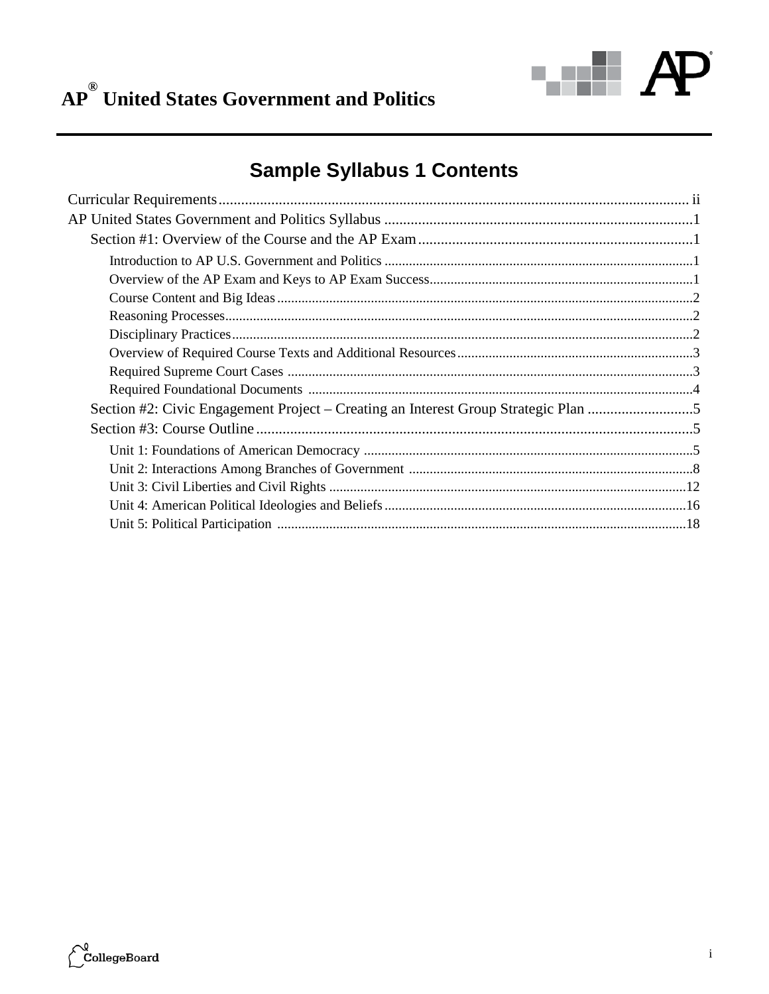

# AP<sup>®</sup> United States Government and Politics

## **Sample Syllabus 1 Contents**

| Section #2: Civic Engagement Project – Creating an Interest Group Strategic Plan |  |
|----------------------------------------------------------------------------------|--|
|                                                                                  |  |
|                                                                                  |  |
|                                                                                  |  |
|                                                                                  |  |
|                                                                                  |  |
|                                                                                  |  |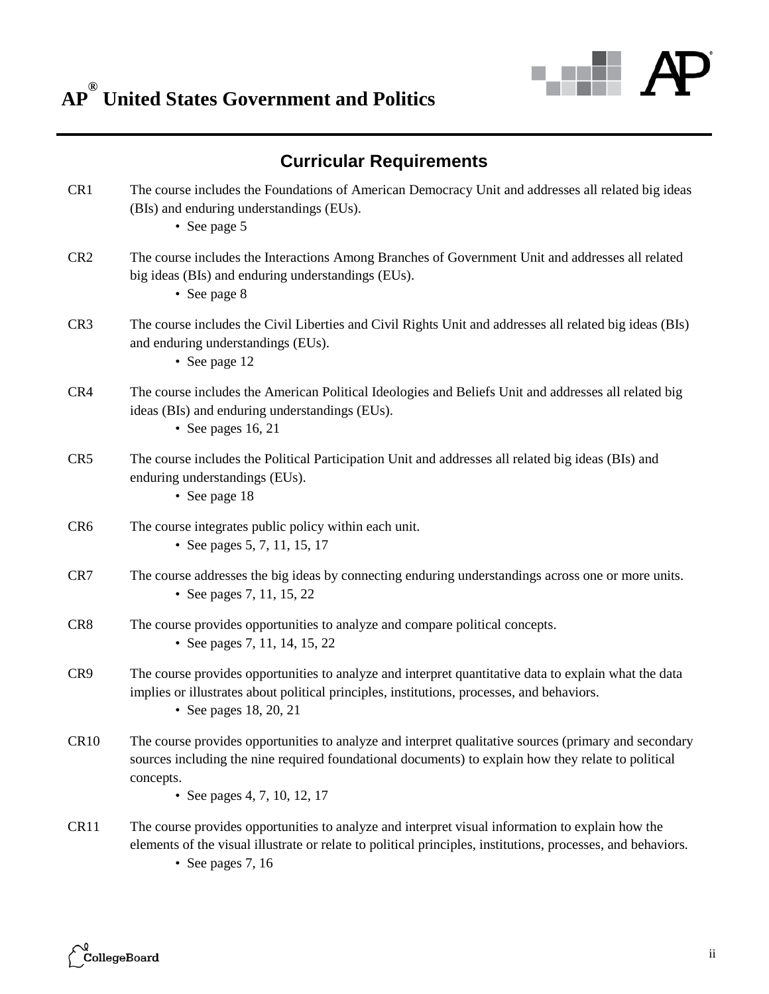

## **Curricular Requirements**

| CR1             | The course includes the Foundations of American Democracy Unit and addresses all related big ideas<br>(BIs) and enduring understandings (EUs).<br>• See page 5                                                                                            |
|-----------------|-----------------------------------------------------------------------------------------------------------------------------------------------------------------------------------------------------------------------------------------------------------|
| CR <sub>2</sub> | The course includes the Interactions Among Branches of Government Unit and addresses all related<br>big ideas (BIs) and enduring understandings (EUs).<br>• See page 8                                                                                    |
| CR <sub>3</sub> | The course includes the Civil Liberties and Civil Rights Unit and addresses all related big ideas (BIs)<br>and enduring understandings (EUs).<br>• See page 12                                                                                            |
| CR4             | The course includes the American Political Ideologies and Beliefs Unit and addresses all related big<br>ideas (BIs) and enduring understandings (EUs).<br>• See pages $16, 21$                                                                            |
| CR <sub>5</sub> | The course includes the Political Participation Unit and addresses all related big ideas (BIs) and<br>enduring understandings (EUs).<br>• See page 18                                                                                                     |
| CR <sub>6</sub> | The course integrates public policy within each unit.<br>• See pages 5, 7, 11, 15, 17                                                                                                                                                                     |
| CR7             | The course addresses the big ideas by connecting enduring understandings across one or more units.<br>• See pages 7, 11, 15, 22                                                                                                                           |
| CR <sub>8</sub> | The course provides opportunities to analyze and compare political concepts.<br>• See pages 7, 11, 14, 15, 22                                                                                                                                             |
| CR9             | The course provides opportunities to analyze and interpret quantitative data to explain what the data<br>implies or illustrates about political principles, institutions, processes, and behaviors.<br>• See pages 18, 20, 21                             |
| <b>CR10</b>     | The course provides opportunities to analyze and interpret qualitative sources (primary and secondary<br>sources including the nine required foundational documents) to explain how they relate to political<br>concepts.<br>• See pages 4, 7, 10, 12, 17 |
| CR11            | The course provides opportunities to analyze and interpret visual information to explain how the<br>elements of the visual illustrate or relate to political principles, institutions, processes, and behaviors.                                          |

• See pages 7, 16

 $\widetilde{\phantom{a}}^{\!\!\! \varrho}$ CollegeBoard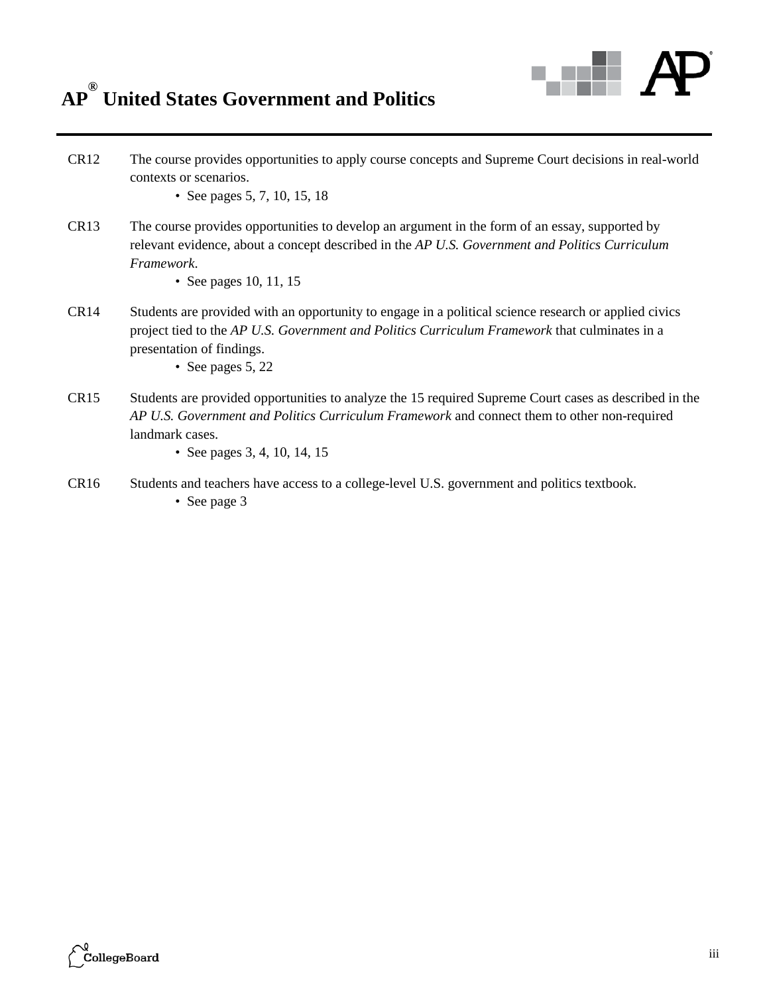## **AP ® United States Government and Politics**



- CR12 The course provides opportunities to apply course concepts and Supreme Court decisions in real-world contexts or scenarios.
	- See pages 5, 7, 10, 15, 18
- CR13 The course provides opportunities to develop an argument in the form of an essay, supported by relevant evidence, about a concept described in the *AP U.S. Government and Politics Curriculum Framework*.
	- See pages 10, 11, 15
- CR14 Students are provided with an opportunity to engage in a political science research or applied civics project tied to the *AP U.S. Government and Politics Curriculum Framework* that culminates in a presentation of findings.
	- See pages 5, 22
- CR15 Students are provided opportunities to analyze the 15 required Supreme Court cases as described in the *AP U.S. Government and Politics Curriculum Framework* and connect them to other non-required landmark cases.
	- See pages 3, 4, 10, 14, 15
- CR16 Students and teachers have access to a college-level U.S. government and politics textbook.
	- See page 3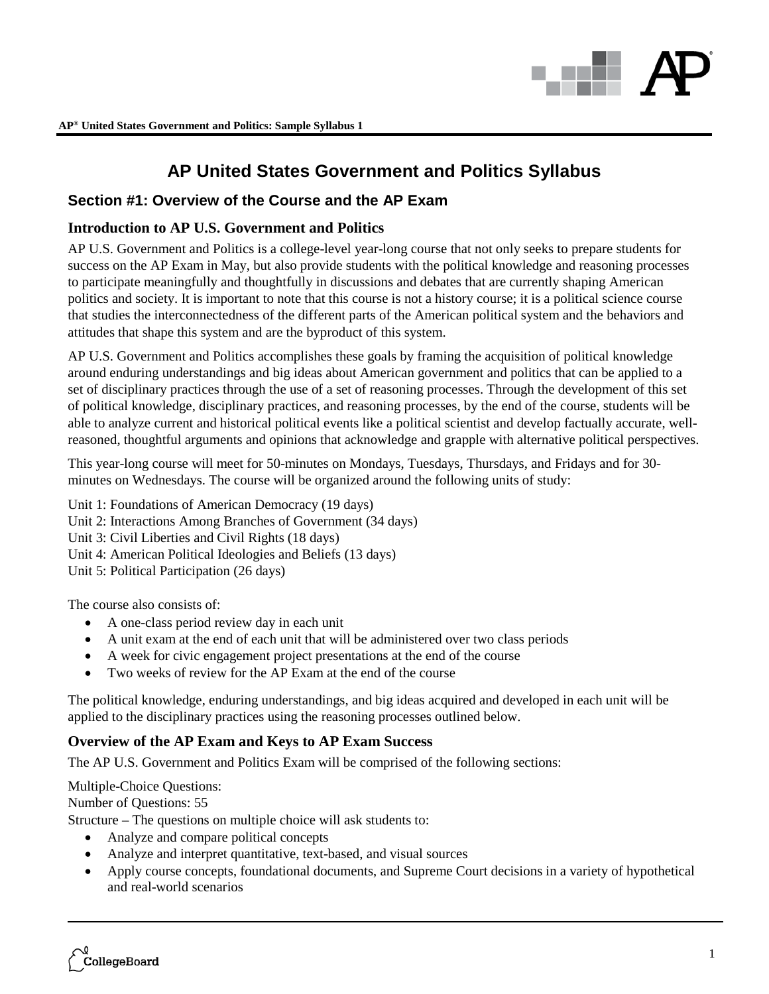

### **Section #1: Overview of the Course and the AP Exam**

### **Introduction to AP U.S. Government and Politics**

AP U.S. Government and Politics is a college-level year-long course that not only seeks to prepare students for success on the AP Exam in May, but also provide students with the political knowledge and reasoning processes to participate meaningfully and thoughtfully in discussions and debates that are currently shaping American politics and society. It is important to note that this course is not a history course; it is a political science course that studies the interconnectedness of the different parts of the American political system and the behaviors and attitudes that shape this system and are the byproduct of this system.

AP U.S. Government and Politics accomplishes these goals by framing the acquisition of political knowledge around enduring understandings and big ideas about American government and politics that can be applied to a set of disciplinary practices through the use of a set of reasoning processes. Through the development of this set of political knowledge, disciplinary practices, and reasoning processes, by the end of the course, students will be able to analyze current and historical political events like a political scientist and develop factually accurate, wellreasoned, thoughtful arguments and opinions that acknowledge and grapple with alternative political perspectives.

This year-long course will meet for 50-minutes on Mondays, Tuesdays, Thursdays, and Fridays and for 30 minutes on Wednesdays. The course will be organized around the following units of study:

Unit 1: Foundations of American Democracy (19 days) Unit 2: Interactions Among Branches of Government (34 days) Unit 3: Civil Liberties and Civil Rights (18 days) Unit 4: American Political Ideologies and Beliefs (13 days) Unit 5: Political Participation (26 days)

The course also consists of:

- A one-class period review day in each unit
- A unit exam at the end of each unit that will be administered over two class periods
- A week for civic engagement project presentations at the end of the course
- Two weeks of review for the AP Exam at the end of the course

The political knowledge, enduring understandings, and big ideas acquired and developed in each unit will be applied to the disciplinary practices using the reasoning processes outlined below.

### **Overview of the AP Exam and Keys to AP Exam Success**

The AP U.S. Government and Politics Exam will be comprised of the following sections:

Multiple-Choice Questions:

Number of Questions: 55

Structure – The questions on multiple choice will ask students to:

- Analyze and compare political concepts
- Analyze and interpret quantitative, text-based, and visual sources
- Apply course concepts, foundational documents, and Supreme Court decisions in a variety of hypothetical and real-world scenarios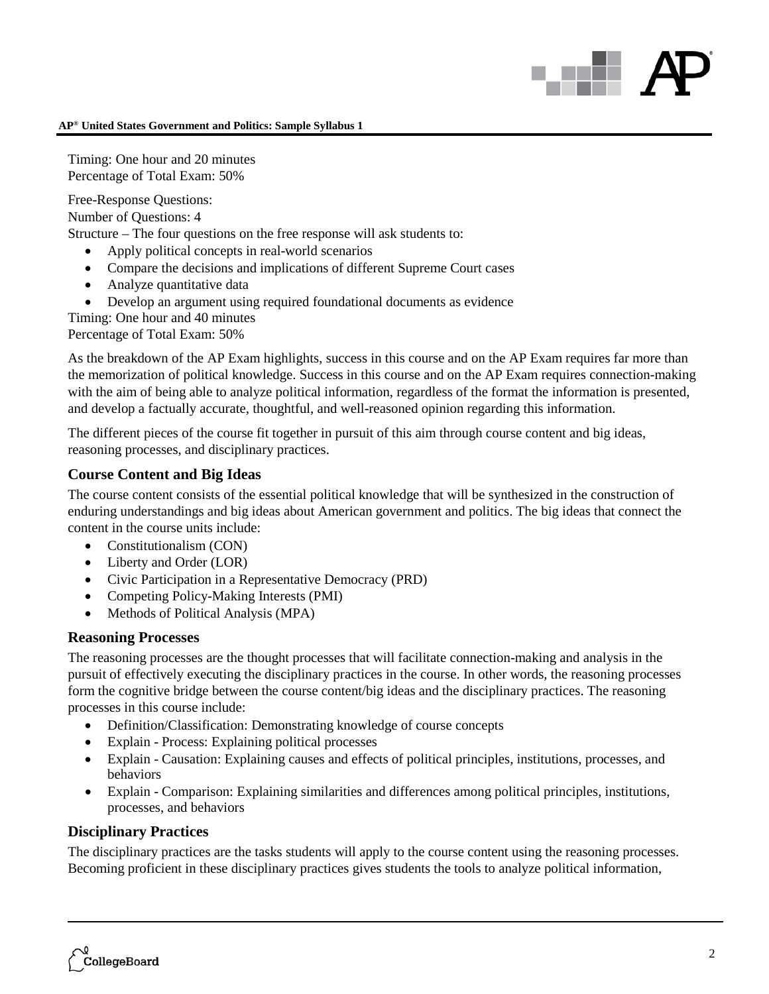Timing: One hour and 20 minutes Percentage of Total Exam: 50%

Free-Response Questions:

Number of Questions: 4

Structure – The four questions on the free response will ask students to:

- Apply political concepts in real-world scenarios
- Compare the decisions and implications of different Supreme Court cases
- Analyze quantitative data
- Develop an argument using required foundational documents as evidence
- Timing: One hour and 40 minutes

Percentage of Total Exam: 50%

As the breakdown of the AP Exam highlights, success in this course and on the AP Exam requires far more than the memorization of political knowledge. Success in this course and on the AP Exam requires connection-making with the aim of being able to analyze political information, regardless of the format the information is presented, and develop a factually accurate, thoughtful, and well-reasoned opinion regarding this information.

The different pieces of the course fit together in pursuit of this aim through course content and big ideas, reasoning processes, and disciplinary practices.

### **Course Content and Big Ideas**

The course content consists of the essential political knowledge that will be synthesized in the construction of enduring understandings and big ideas about American government and politics. The big ideas that connect the content in the course units include:

- Constitutionalism (CON)
- Liberty and Order (LOR)
- Civic Participation in a Representative Democracy (PRD)
- Competing Policy-Making Interests (PMI)
- Methods of Political Analysis (MPA)

### **Reasoning Processes**

The reasoning processes are the thought processes that will facilitate connection-making and analysis in the pursuit of effectively executing the disciplinary practices in the course. In other words, the reasoning processes form the cognitive bridge between the course content/big ideas and the disciplinary practices. The reasoning processes in this course include:

- Definition/Classification: Demonstrating knowledge of course concepts
- Explain Process: Explaining political processes
- Explain Causation: Explaining causes and effects of political principles, institutions, processes, and behaviors
- Explain Comparison: Explaining similarities and differences among political principles, institutions, processes, and behaviors

### **Disciplinary Practices**

The disciplinary practices are the tasks students will apply to the course content using the reasoning processes. Becoming proficient in these disciplinary practices gives students the tools to analyze political information,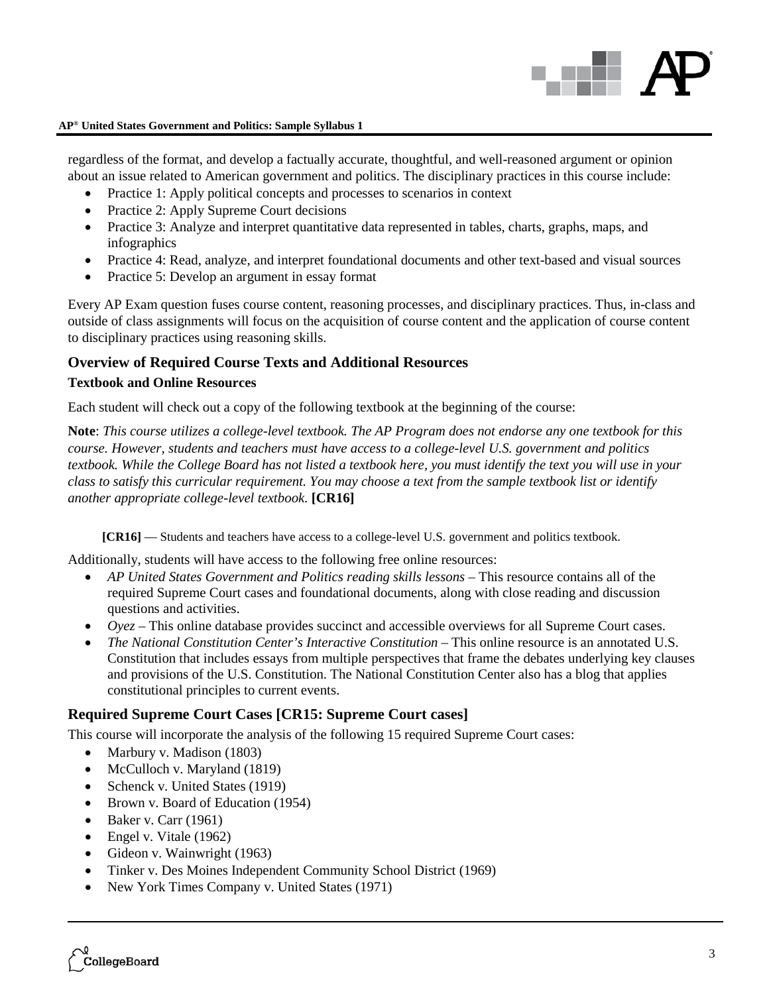

regardless of the format, and develop a factually accurate, thoughtful, and well-reasoned argument or opinion about an issue related to American government and politics. The disciplinary practices in this course include:

- Practice 1: Apply political concepts and processes to scenarios in context
- Practice 2: Apply Supreme Court decisions
- Practice 3: Analyze and interpret quantitative data represented in tables, charts, graphs, maps, and infographics
- Practice 4: Read, analyze, and interpret foundational documents and other text-based and visual sources
- Practice 5: Develop an argument in essay format

Every AP Exam question fuses course content, reasoning processes, and disciplinary practices. Thus, in-class and outside of class assignments will focus on the acquisition of course content and the application of course content to disciplinary practices using reasoning skills.

### **Overview of Required Course Texts and Additional Resources**

### **Textbook and Online Resources**

Each student will check out a copy of the following textbook at the beginning of the course:

**Note**: *This course utilizes a college-level textbook. The AP Program does not endorse any one textbook for this course. However, students and teachers must have access to a college-level U.S. government and politics textbook. While the College Board has not listed a textbook here, you must identify the text you will use in your class to satisfy this curricular requirement. You may choose a text from the sample textbook list or identify another appropriate college-level textbook.* **[CR16]**

**[CR16]** — Students and teachers have access to a college-level U.S. government and politics textbook.

Additionally, students will have access to the following free online resources:

- *AP United States Government and Politics reading skills lessons* This resource contains all of the required Supreme Court cases and foundational documents, along with close reading and discussion questions and activities.
- *Oyez* This online database provides succinct and accessible overviews for all Supreme Court cases.
- *The National Constitution Center's Interactive Constitution* This online resource is an annotated U.S. Constitution that includes essays from multiple perspectives that frame the debates underlying key clauses and provisions of the U.S. Constitution. The National Constitution Center also has a blog that applies constitutional principles to current events.

### **Required Supreme Court Cases [CR15: Supreme Court cases]**

This course will incorporate the analysis of the following 15 required Supreme Court cases:

- Marbury v. Madison (1803)
- McCulloch v. Maryland (1819)
- Schenck v. United States (1919)
- Brown v. Board of Education (1954)
- Baker v. Carr  $(1961)$
- Engel v. Vitale (1962)
- Gideon v. Wainwright (1963)
- Tinker v. Des Moines Independent Community School District (1969)
- New York Times Company v. United States (1971)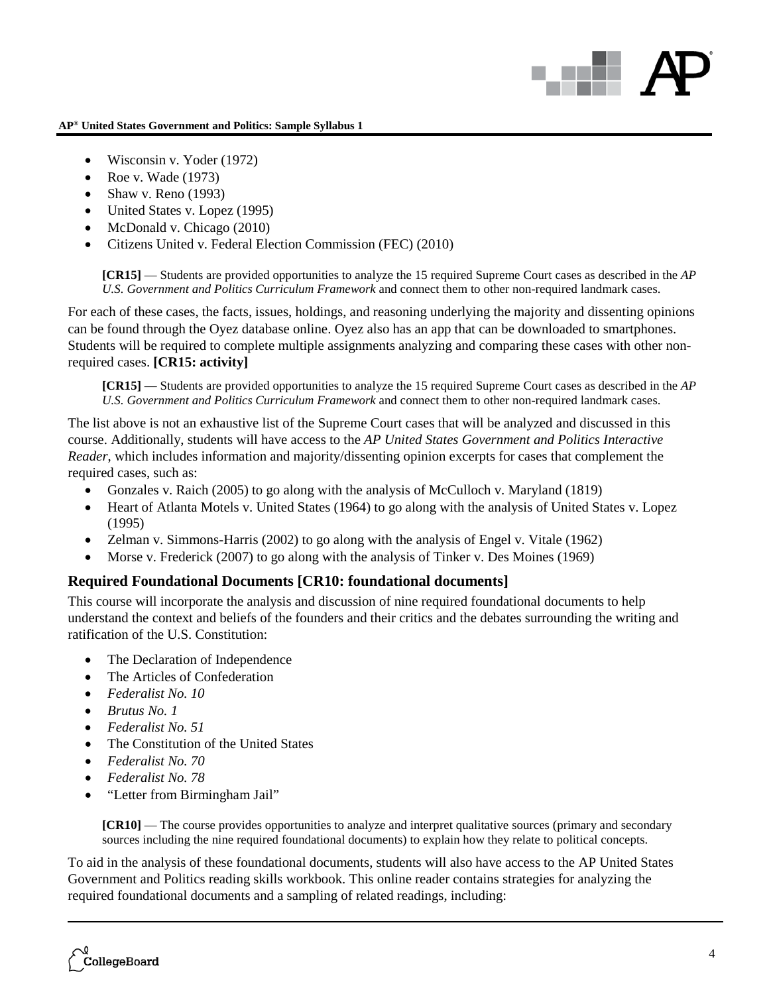# an Ba

### **AP® United States Government and Politics: Sample Syllabus 1**

- Wisconsin v. Yoder (1972)
- Roe v. Wade (1973)
- Shaw v. Reno  $(1993)$
- United States v. Lopez (1995)
- McDonald v. Chicago (2010)
- Citizens United v. Federal Election Commission (FEC) (2010)

**[CR15]** — Students are provided opportunities to analyze the 15 required Supreme Court cases as described in the *AP U.S. Government and Politics Curriculum Framework* and connect them to other non-required landmark cases.

For each of these cases, the facts, issues, holdings, and reasoning underlying the majority and dissenting opinions can be found through the Oyez database online. Oyez also has an app that can be downloaded to smartphones. Students will be required to complete multiple assignments analyzing and comparing these cases with other nonrequired cases. **[CR15: activity]**

**[CR15]** — Students are provided opportunities to analyze the 15 required Supreme Court cases as described in the *AP U.S. Government and Politics Curriculum Framework* and connect them to other non-required landmark cases.

The list above is not an exhaustive list of the Supreme Court cases that will be analyzed and discussed in this course. Additionally, students will have access to the *AP United States Government and Politics Interactive Reader*, which includes information and majority/dissenting opinion excerpts for cases that complement the required cases, such as:

- Gonzales v. Raich (2005) to go along with the analysis of McCulloch v. Maryland (1819)
- Heart of Atlanta Motels v. United States (1964) to go along with the analysis of United States v. Lopez (1995)
- Zelman v. Simmons-Harris (2002) to go along with the analysis of Engel v. Vitale (1962)
- Morse v. Frederick (2007) to go along with the analysis of Tinker v. Des Moines (1969)

### **Required Foundational Documents [CR10: foundational documents]**

This course will incorporate the analysis and discussion of nine required foundational documents to help understand the context and beliefs of the founders and their critics and the debates surrounding the writing and ratification of the U.S. Constitution:

- The Declaration of Independence
- The Articles of Confederation
- *Federalist No. 10*
- *Brutus No. 1*
- *Federalist No. 51*
- The Constitution of the United States
- *Federalist No. 70*
- *Federalist No. 78*
- "Letter from Birmingham Jail"

**[CR10]** — The course provides opportunities to analyze and interpret qualitative sources (primary and secondary sources including the nine required foundational documents) to explain how they relate to political concepts.

To aid in the analysis of these foundational documents, students will also have access to the AP United States Government and Politics reading skills workbook. This online reader contains strategies for analyzing the required foundational documents and a sampling of related readings, including: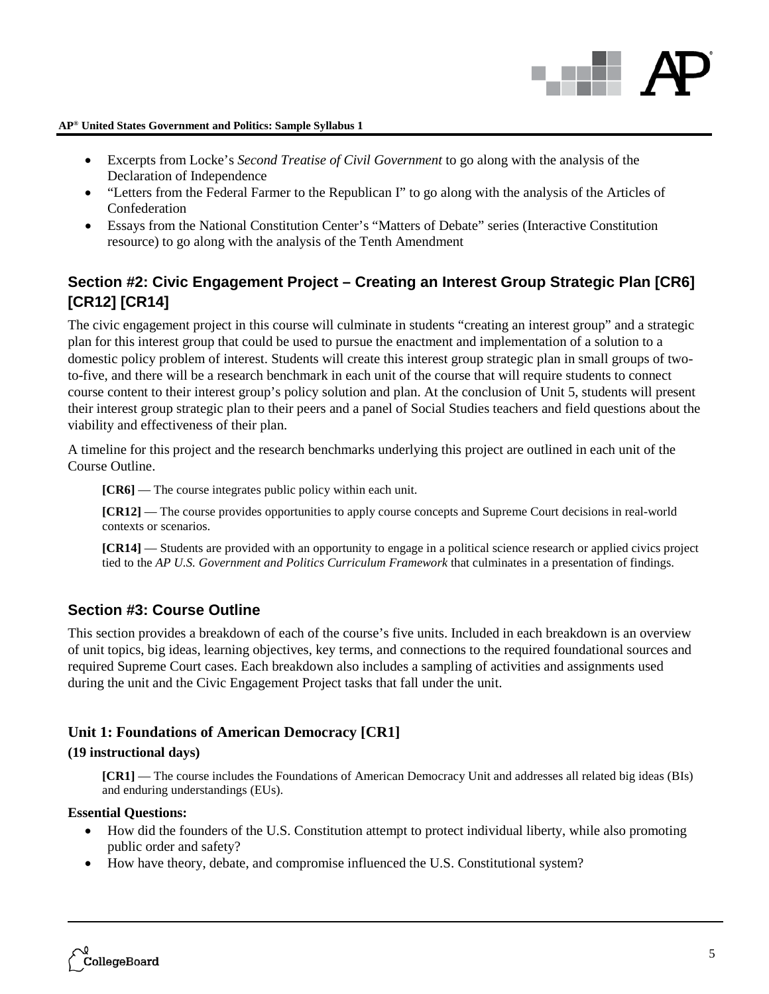

- Excerpts from Locke's *Second Treatise of Civil Government* to go along with the analysis of the Declaration of Independence
- "Letters from the Federal Farmer to the Republican I" to go along with the analysis of the Articles of Confederation
- Essays from the National Constitution Center's "Matters of Debate" series (Interactive Constitution resource) to go along with the analysis of the Tenth Amendment

## **Section #2: Civic Engagement Project – Creating an Interest Group Strategic Plan [CR6] [CR12] [CR14]**

The civic engagement project in this course will culminate in students "creating an interest group" and a strategic plan for this interest group that could be used to pursue the enactment and implementation of a solution to a domestic policy problem of interest. Students will create this interest group strategic plan in small groups of twoto-five, and there will be a research benchmark in each unit of the course that will require students to connect course content to their interest group's policy solution and plan. At the conclusion of Unit 5, students will present their interest group strategic plan to their peers and a panel of Social Studies teachers and field questions about the viability and effectiveness of their plan.

A timeline for this project and the research benchmarks underlying this project are outlined in each unit of the Course Outline.

**[CR6]** — The course integrates public policy within each unit.

**[CR12]** — The course provides opportunities to apply course concepts and Supreme Court decisions in real-world contexts or scenarios.

**[CR14]** — Students are provided with an opportunity to engage in a political science research or applied civics project tied to the *AP U.S. Government and Politics Curriculum Framework* that culminates in a presentation of findings.

### **Section #3: Course Outline**

This section provides a breakdown of each of the course's five units. Included in each breakdown is an overview of unit topics, big ideas, learning objectives, key terms, and connections to the required foundational sources and required Supreme Court cases. Each breakdown also includes a sampling of activities and assignments used during the unit and the Civic Engagement Project tasks that fall under the unit.

### **Unit 1: Foundations of American Democracy [CR1]**

### **(19 instructional days)**

**[CR1]** — The course includes the Foundations of American Democracy Unit and addresses all related big ideas (BIs) and enduring understandings (EUs).

### **Essential Questions:**

- How did the founders of the U.S. Constitution attempt to protect individual liberty, while also promoting public order and safety?
- How have theory, debate, and compromise influenced the U.S. Constitutional system?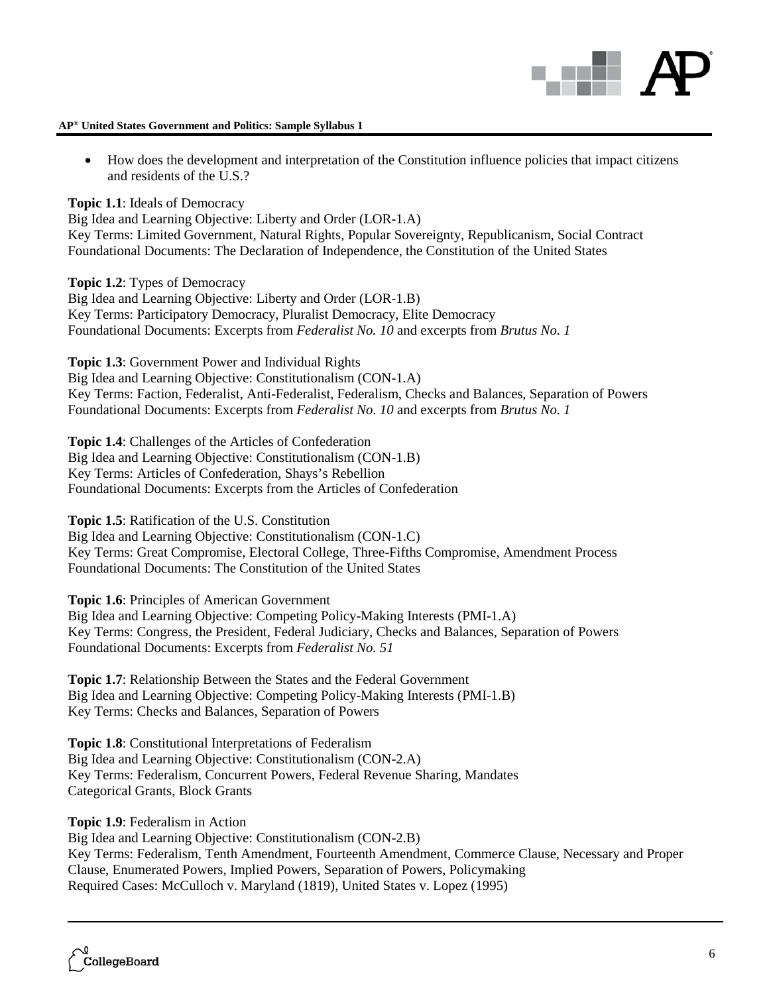

• How does the development and interpretation of the Constitution influence policies that impact citizens and residents of the U.S.?

**Topic 1.1**: Ideals of Democracy

Big Idea and Learning Objective: Liberty and Order (LOR-1.A) Key Terms: Limited Government, Natural Rights, Popular Sovereignty, Republicanism, Social Contract Foundational Documents: The Declaration of Independence, the Constitution of the United States

**Topic 1.2**: Types of Democracy Big Idea and Learning Objective: Liberty and Order (LOR-1.B) Key Terms: Participatory Democracy, Pluralist Democracy, Elite Democracy Foundational Documents: Excerpts from *Federalist No. 10* and excerpts from *Brutus No. 1*

**Topic 1.3**: Government Power and Individual Rights Big Idea and Learning Objective: Constitutionalism (CON-1.A) Key Terms: Faction, Federalist, Anti-Federalist, Federalism, Checks and Balances, Separation of Powers Foundational Documents: Excerpts from *Federalist No. 10* and excerpts from *Brutus No. 1*

**Topic 1.4**: Challenges of the Articles of Confederation Big Idea and Learning Objective: Constitutionalism (CON-1.B) Key Terms: Articles of Confederation, Shays's Rebellion Foundational Documents: Excerpts from the Articles of Confederation

**Topic 1.5**: Ratification of the U.S. Constitution Big Idea and Learning Objective: Constitutionalism (CON-1.C) Key Terms: Great Compromise, Electoral College, Three-Fifths Compromise, Amendment Process Foundational Documents: The Constitution of the United States

**Topic 1.6**: Principles of American Government

Big Idea and Learning Objective: Competing Policy-Making Interests (PMI-1.A) Key Terms: Congress, the President, Federal Judiciary, Checks and Balances, Separation of Powers Foundational Documents: Excerpts from *Federalist No. 51*

**Topic 1.7**: Relationship Between the States and the Federal Government Big Idea and Learning Objective: Competing Policy-Making Interests (PMI-1.B) Key Terms: Checks and Balances, Separation of Powers

**Topic 1.8**: Constitutional Interpretations of Federalism Big Idea and Learning Objective: Constitutionalism (CON-2.A) Key Terms: Federalism, Concurrent Powers, Federal Revenue Sharing, Mandates Categorical Grants, Block Grants

**Topic 1.9**: Federalism in Action

Big Idea and Learning Objective: Constitutionalism (CON-2.B) Key Terms: Federalism, Tenth Amendment, Fourteenth Amendment, Commerce Clause, Necessary and Proper Clause, Enumerated Powers, Implied Powers, Separation of Powers, Policymaking Required Cases: McCulloch v. Maryland (1819), United States v. Lopez (1995)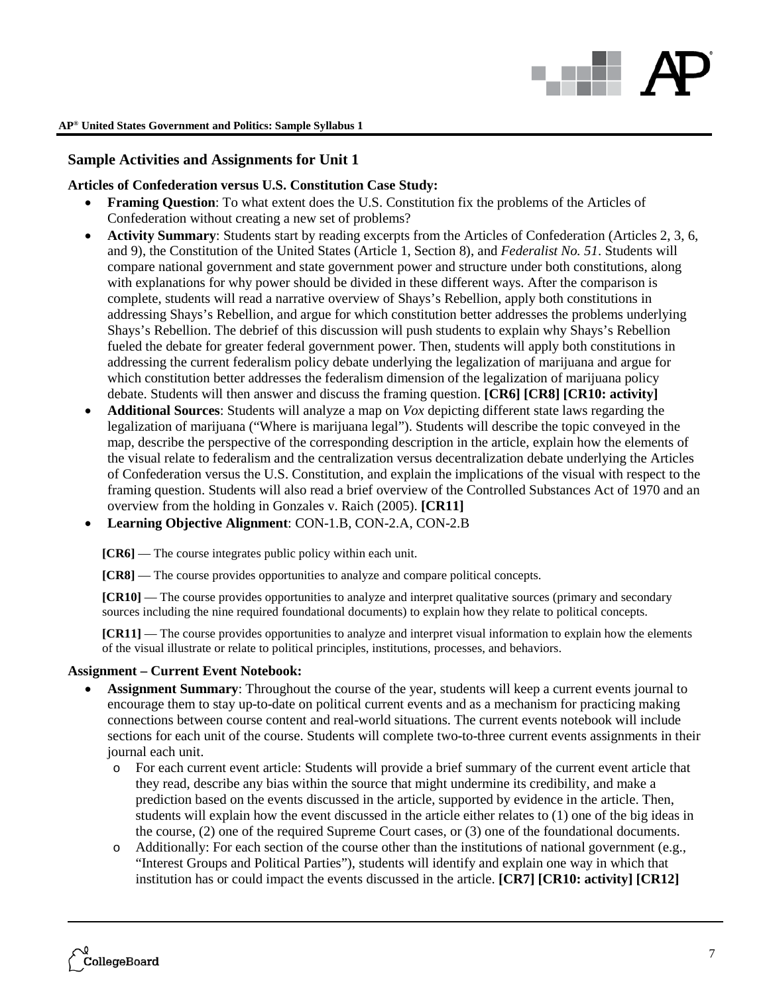

### **Sample Activities and Assignments for Unit 1**

### **Articles of Confederation versus U.S. Constitution Case Study:**

- **Framing Question**: To what extent does the U.S. Constitution fix the problems of the Articles of Confederation without creating a new set of problems?
- **Activity Summary**: Students start by reading excerpts from the Articles of Confederation (Articles 2, 3, 6, and 9), the Constitution of the United States (Article 1, Section 8), and *Federalist No. 51*. Students will compare national government and state government power and structure under both constitutions, along with explanations for why power should be divided in these different ways. After the comparison is complete, students will read a narrative overview of Shays's Rebellion, apply both constitutions in addressing Shays's Rebellion, and argue for which constitution better addresses the problems underlying Shays's Rebellion. The debrief of this discussion will push students to explain why Shays's Rebellion fueled the debate for greater federal government power. Then, students will apply both constitutions in addressing the current federalism policy debate underlying the legalization of marijuana and argue for which constitution better addresses the federalism dimension of the legalization of marijuana policy debate. Students will then answer and discuss the framing question. **[CR6] [CR8] [CR10: activity]**
- **Additional Sources**: Students will analyze a map on *Vox* depicting different state laws regarding the legalization of marijuana ("Where is marijuana legal"). Students will describe the topic conveyed in the map, describe the perspective of the corresponding description in the article, explain how the elements of the visual relate to federalism and the centralization versus decentralization debate underlying the Articles of Confederation versus the U.S. Constitution, and explain the implications of the visual with respect to the framing question. Students will also read a brief overview of the Controlled Substances Act of 1970 and an overview from the holding in Gonzales v. Raich (2005). **[CR11]**
- **Learning Objective Alignment**: CON-1.B, CON-2.A, CON-2.B

**[CR6]** — The course integrates public policy within each unit.

**[CR8]** — The course provides opportunities to analyze and compare political concepts.

**[CR10]** — The course provides opportunities to analyze and interpret qualitative sources (primary and secondary sources including the nine required foundational documents) to explain how they relate to political concepts.

**[CR11]** — The course provides opportunities to analyze and interpret visual information to explain how the elements of the visual illustrate or relate to political principles, institutions, processes, and behaviors.

### **Assignment – Current Event Notebook:**

- **Assignment Summary**: Throughout the course of the year, students will keep a current events journal to encourage them to stay up-to-date on political current events and as a mechanism for practicing making connections between course content and real-world situations. The current events notebook will include sections for each unit of the course. Students will complete two-to-three current events assignments in their journal each unit.
	- o For each current event article: Students will provide a brief summary of the current event article that they read, describe any bias within the source that might undermine its credibility, and make a prediction based on the events discussed in the article, supported by evidence in the article. Then, students will explain how the event discussed in the article either relates to (1) one of the big ideas in the course, (2) one of the required Supreme Court cases, or (3) one of the foundational documents.
	- o Additionally: For each section of the course other than the institutions of national government (e.g., "Interest Groups and Political Parties"), students will identify and explain one way in which that institution has or could impact the events discussed in the article. **[CR7] [CR10: activity] [CR12]**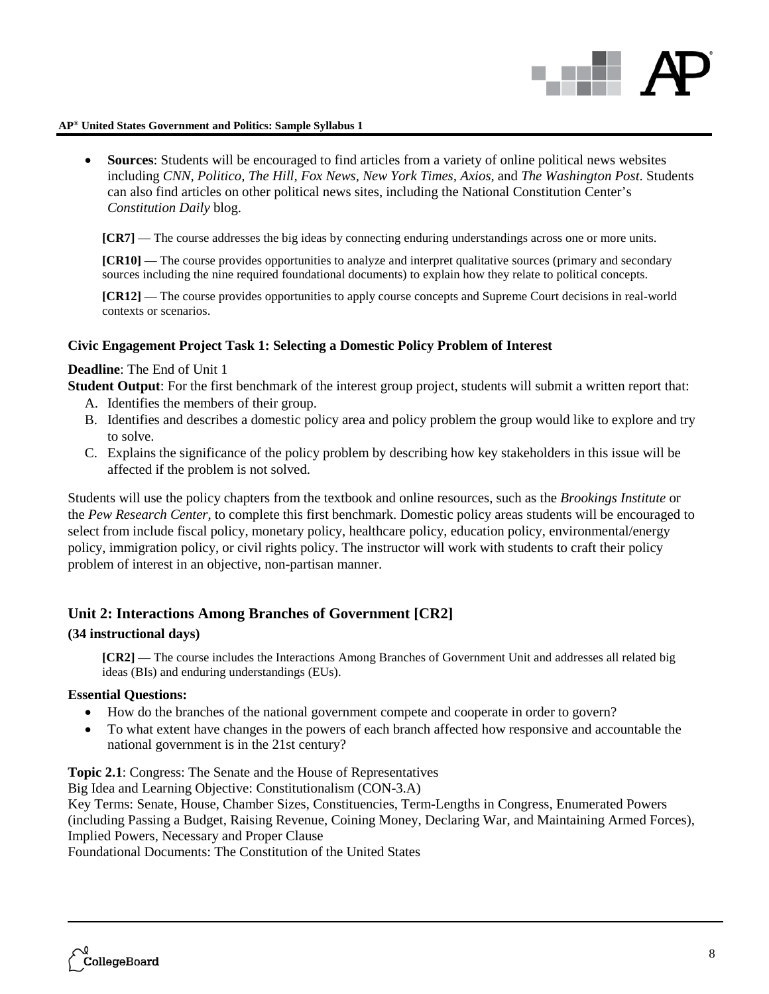

• **Sources**: Students will be encouraged to find articles from a variety of online political news websites including *CNN, Politico, The Hill, Fox News, New York Times, Axios,* and *The Washington Post*. Students can also find articles on other political news sites, including the National Constitution Center's *Constitution Daily* blog.

**[CR7]** — The course addresses the big ideas by connecting enduring understandings across one or more units.

**[CR10]** — The course provides opportunities to analyze and interpret qualitative sources (primary and secondary sources including the nine required foundational documents) to explain how they relate to political concepts.

**[CR12]** — The course provides opportunities to apply course concepts and Supreme Court decisions in real-world contexts or scenarios.

### **Civic Engagement Project Task 1: Selecting a Domestic Policy Problem of Interest**

### **Deadline**: The End of Unit 1

**Student Output**: For the first benchmark of the interest group project, students will submit a written report that:

- A. Identifies the members of their group.
- B. Identifies and describes a domestic policy area and policy problem the group would like to explore and try to solve.
- C. Explains the significance of the policy problem by describing how key stakeholders in this issue will be affected if the problem is not solved.

Students will use the policy chapters from the textbook and online resources, such as the *Brookings Institute* or the *Pew Research Center*, to complete this first benchmark. Domestic policy areas students will be encouraged to select from include fiscal policy, monetary policy, healthcare policy, education policy, environmental/energy policy, immigration policy, or civil rights policy. The instructor will work with students to craft their policy problem of interest in an objective, non-partisan manner.

### **Unit 2: Interactions Among Branches of Government [CR2]**

### **(34 instructional days)**

**[CR2]** — The course includes the Interactions Among Branches of Government Unit and addresses all related big ideas (BIs) and enduring understandings (EUs).

### **Essential Questions:**

- How do the branches of the national government compete and cooperate in order to govern?
- To what extent have changes in the powers of each branch affected how responsive and accountable the national government is in the 21st century?

**Topic 2.1**: Congress: The Senate and the House of Representatives

Big Idea and Learning Objective: Constitutionalism (CON-3.A)

Key Terms: Senate, House, Chamber Sizes, Constituencies, Term-Lengths in Congress, Enumerated Powers (including Passing a Budget, Raising Revenue, Coining Money, Declaring War, and Maintaining Armed Forces), Implied Powers, Necessary and Proper Clause

Foundational Documents: The Constitution of the United States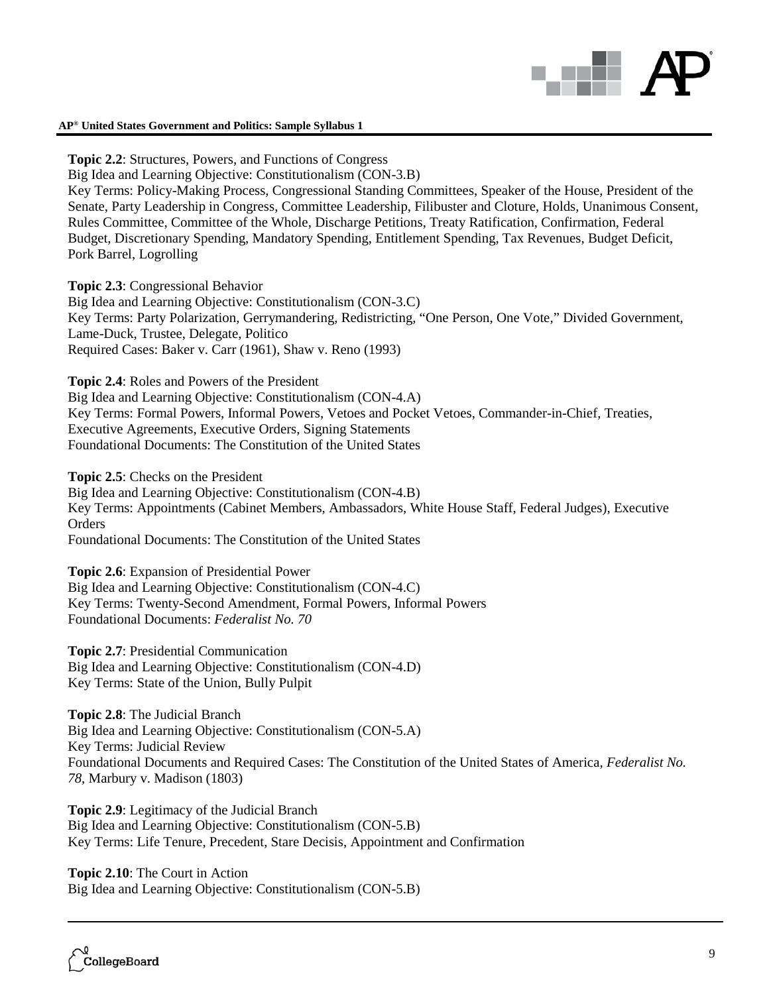

**Topic 2.2**: Structures, Powers, and Functions of Congress Big Idea and Learning Objective: Constitutionalism (CON-3.B) Key Terms: Policy-Making Process, Congressional Standing Committees, Speaker of the House, President of the Senate, Party Leadership in Congress, Committee Leadership, Filibuster and Cloture, Holds, Unanimous Consent, Rules Committee, Committee of the Whole, Discharge Petitions, Treaty Ratification, Confirmation, Federal Budget, Discretionary Spending, Mandatory Spending, Entitlement Spending, Tax Revenues, Budget Deficit, Pork Barrel, Logrolling

**Topic 2.3**: Congressional Behavior

Big Idea and Learning Objective: Constitutionalism (CON-3.C) Key Terms: Party Polarization, Gerrymandering, Redistricting, "One Person, One Vote," Divided Government, Lame-Duck, Trustee, Delegate, Politico Required Cases: Baker v. Carr (1961), Shaw v. Reno (1993)

**Topic 2.4**: Roles and Powers of the President

Big Idea and Learning Objective: Constitutionalism (CON-4.A) Key Terms: Formal Powers, Informal Powers, Vetoes and Pocket Vetoes, Commander-in-Chief, Treaties, Executive Agreements, Executive Orders, Signing Statements Foundational Documents: The Constitution of the United States

**Topic 2.5**: Checks on the President Big Idea and Learning Objective: Constitutionalism (CON-4.B) Key Terms: Appointments (Cabinet Members, Ambassadors, White House Staff, Federal Judges), Executive **Orders** Foundational Documents: The Constitution of the United States

**Topic 2.6**: Expansion of Presidential Power Big Idea and Learning Objective: Constitutionalism (CON-4.C) Key Terms: Twenty-Second Amendment, Formal Powers, Informal Powers Foundational Documents: *Federalist No. 70*

**Topic 2.7**: Presidential Communication Big Idea and Learning Objective: Constitutionalism (CON-4.D) Key Terms: State of the Union, Bully Pulpit

**Topic 2.8**: The Judicial Branch Big Idea and Learning Objective: Constitutionalism (CON-5.A) Key Terms: Judicial Review Foundational Documents and Required Cases: The Constitution of the United States of America, *Federalist No. 78*, Marbury v. Madison (1803)

**Topic 2.9**: Legitimacy of the Judicial Branch Big Idea and Learning Objective: Constitutionalism (CON-5.B) Key Terms: Life Tenure, Precedent, Stare Decisis, Appointment and Confirmation

**Topic 2.10**: The Court in Action Big Idea and Learning Objective: Constitutionalism (CON-5.B)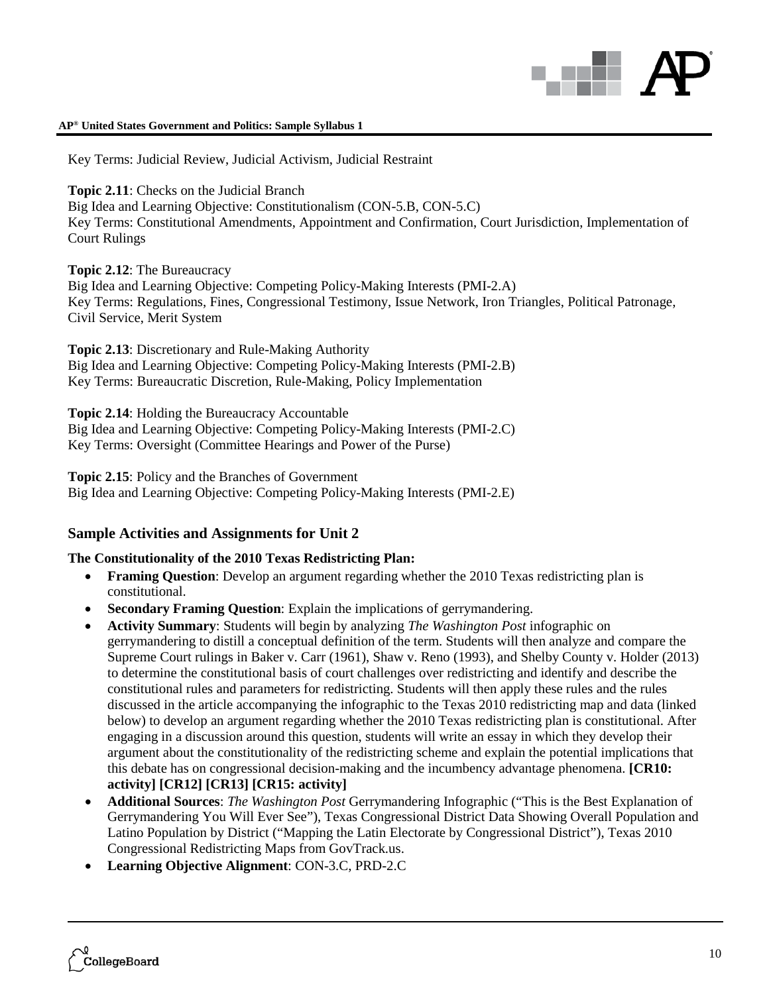

Key Terms: Judicial Review, Judicial Activism, Judicial Restraint

**Topic 2.11**: Checks on the Judicial Branch

Big Idea and Learning Objective: Constitutionalism (CON-5.B, CON-5.C) Key Terms: Constitutional Amendments, Appointment and Confirmation, Court Jurisdiction, Implementation of Court Rulings

**Topic 2.12**: The Bureaucracy

Big Idea and Learning Objective: Competing Policy-Making Interests (PMI-2.A) Key Terms: Regulations, Fines, Congressional Testimony, Issue Network, Iron Triangles, Political Patronage, Civil Service, Merit System

**Topic 2.13**: Discretionary and Rule-Making Authority Big Idea and Learning Objective: Competing Policy-Making Interests (PMI-2.B) Key Terms: Bureaucratic Discretion, Rule-Making, Policy Implementation

**Topic 2.14**: Holding the Bureaucracy Accountable Big Idea and Learning Objective: Competing Policy-Making Interests (PMI-2.C)

Key Terms: Oversight (Committee Hearings and Power of the Purse)

**Topic 2.15**: Policy and the Branches of Government Big Idea and Learning Objective: Competing Policy-Making Interests (PMI-2.E)

### **Sample Activities and Assignments for Unit 2**

### **The Constitutionality of the 2010 Texas Redistricting Plan:**

- **Framing Question**: Develop an argument regarding whether the 2010 Texas redistricting plan is constitutional.
- **Secondary Framing Question**: Explain the implications of gerrymandering.
- **Activity Summary**: Students will begin by analyzing *The Washington Post* infographic on gerrymandering to distill a conceptual definition of the term. Students will then analyze and compare the Supreme Court rulings in Baker v. Carr (1961), Shaw v. Reno (1993), and Shelby County v. Holder (2013) to determine the constitutional basis of court challenges over redistricting and identify and describe the constitutional rules and parameters for redistricting. Students will then apply these rules and the rules discussed in the article accompanying the infographic to the Texas 2010 redistricting map and data (linked below) to develop an argument regarding whether the 2010 Texas redistricting plan is constitutional. After engaging in a discussion around this question, students will write an essay in which they develop their argument about the constitutionality of the redistricting scheme and explain the potential implications that this debate has on congressional decision-making and the incumbency advantage phenomena. **[CR10: activity] [CR12] [CR13] [CR15: activity]**
- **Additional Sources**: *The Washington Post* Gerrymandering Infographic ("This is the Best Explanation of Gerrymandering You Will Ever See"), Texas Congressional District Data Showing Overall Population and Latino Population by District ("Mapping the Latin Electorate by Congressional District"), Texas 2010 Congressional Redistricting Maps from GovTrack.us.
- **Learning Objective Alignment**: CON-3.C, PRD-2.C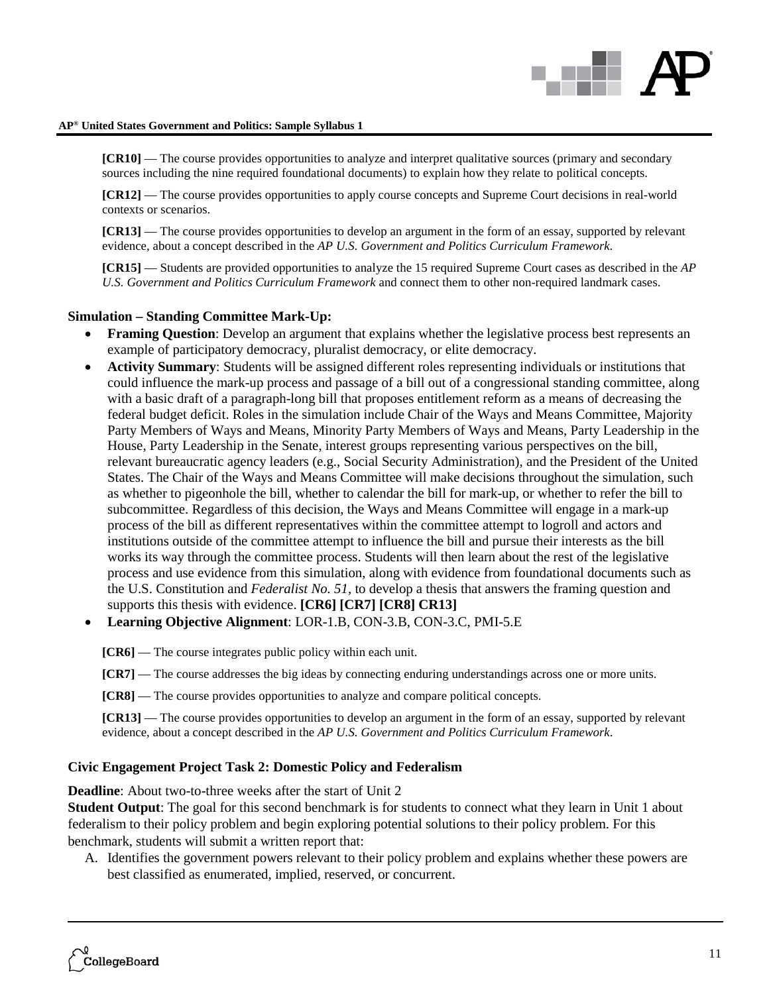

**[CR10]** — The course provides opportunities to analyze and interpret qualitative sources (primary and secondary sources including the nine required foundational documents) to explain how they relate to political concepts.

**[CR12]** — The course provides opportunities to apply course concepts and Supreme Court decisions in real-world contexts or scenarios.

**[CR13]** — The course provides opportunities to develop an argument in the form of an essay, supported by relevant evidence, about a concept described in the *AP U.S. Government and Politics Curriculum Framework*.

**[CR15]** — Students are provided opportunities to analyze the 15 required Supreme Court cases as described in the *AP U.S. Government and Politics Curriculum Framework* and connect them to other non-required landmark cases.

### **Simulation – Standing Committee Mark-Up:**

- **Framing Question**: Develop an argument that explains whether the legislative process best represents an example of participatory democracy, pluralist democracy, or elite democracy.
- **Activity Summary**: Students will be assigned different roles representing individuals or institutions that could influence the mark-up process and passage of a bill out of a congressional standing committee, along with a basic draft of a paragraph-long bill that proposes entitlement reform as a means of decreasing the federal budget deficit. Roles in the simulation include Chair of the Ways and Means Committee, Majority Party Members of Ways and Means, Minority Party Members of Ways and Means, Party Leadership in the House, Party Leadership in the Senate, interest groups representing various perspectives on the bill, relevant bureaucratic agency leaders (e.g., Social Security Administration), and the President of the United States. The Chair of the Ways and Means Committee will make decisions throughout the simulation, such as whether to pigeonhole the bill, whether to calendar the bill for mark-up, or whether to refer the bill to subcommittee. Regardless of this decision, the Ways and Means Committee will engage in a mark-up process of the bill as different representatives within the committee attempt to logroll and actors and institutions outside of the committee attempt to influence the bill and pursue their interests as the bill works its way through the committee process. Students will then learn about the rest of the legislative process and use evidence from this simulation, along with evidence from foundational documents such as the U.S. Constitution and *Federalist No. 51*, to develop a thesis that answers the framing question and supports this thesis with evidence. **[CR6] [CR7] [CR8] CR13]**
- **Learning Objective Alignment**: LOR-1.B, CON-3.B, CON-3.C, PMI-5.E

**[CR6]** — The course integrates public policy within each unit.

**[CR7]** — The course addresses the big ideas by connecting enduring understandings across one or more units.

**[CR8]** — The course provides opportunities to analyze and compare political concepts.

**[CR13]** — The course provides opportunities to develop an argument in the form of an essay, supported by relevant evidence, about a concept described in the *AP U.S. Government and Politics Curriculum Framework*.

### **Civic Engagement Project Task 2: Domestic Policy and Federalism**

**Deadline:** About two-to-three weeks after the start of Unit 2

**Student Output**: The goal for this second benchmark is for students to connect what they learn in Unit 1 about federalism to their policy problem and begin exploring potential solutions to their policy problem. For this benchmark, students will submit a written report that:

A. Identifies the government powers relevant to their policy problem and explains whether these powers are best classified as enumerated, implied, reserved, or concurrent.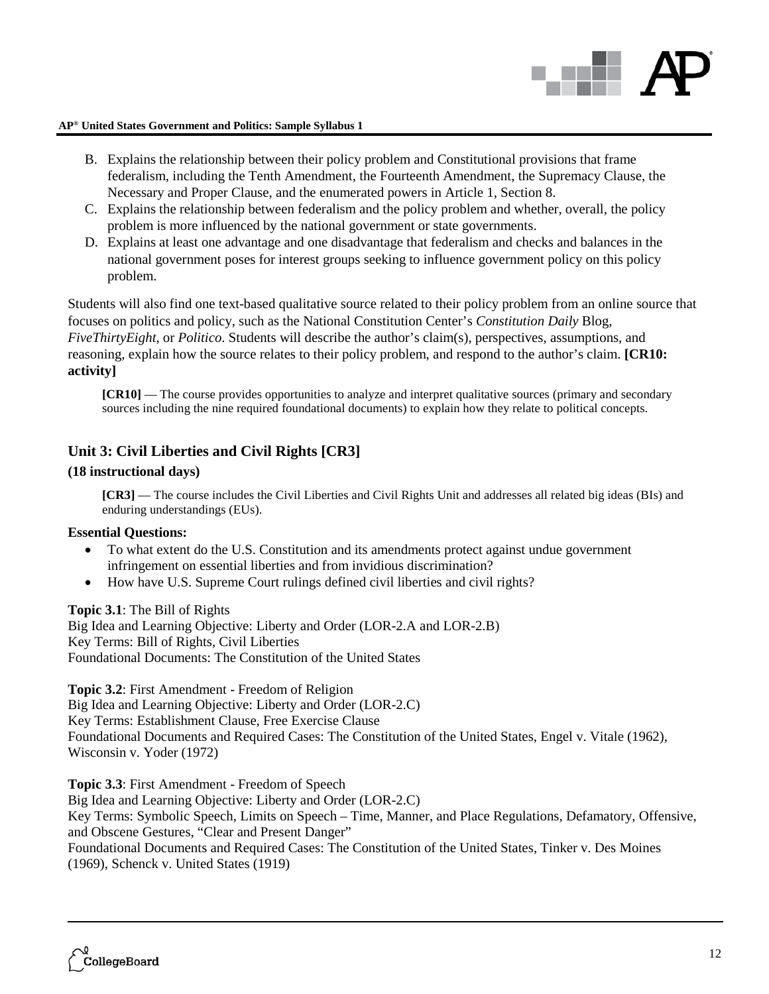

- B. Explains the relationship between their policy problem and Constitutional provisions that frame federalism, including the Tenth Amendment, the Fourteenth Amendment, the Supremacy Clause, the Necessary and Proper Clause, and the enumerated powers in Article 1, Section 8.
- C. Explains the relationship between federalism and the policy problem and whether, overall, the policy problem is more influenced by the national government or state governments.
- D. Explains at least one advantage and one disadvantage that federalism and checks and balances in the national government poses for interest groups seeking to influence government policy on this policy problem.

Students will also find one text-based qualitative source related to their policy problem from an online source that focuses on politics and policy, such as the National Constitution Center's *Constitution Daily* Blog, *FiveThirtyEight*, or *Politico*. Students will describe the author's claim(s), perspectives, assumptions, and reasoning, explain how the source relates to their policy problem, and respond to the author's claim. **[CR10: activity]**

**[CR10]** — The course provides opportunities to analyze and interpret qualitative sources (primary and secondary sources including the nine required foundational documents) to explain how they relate to political concepts.

### **Unit 3: Civil Liberties and Civil Rights [CR3]**

### **(18 instructional days)**

**[CR3]** — The course includes the Civil Liberties and Civil Rights Unit and addresses all related big ideas (BIs) and enduring understandings (EUs).

### **Essential Questions:**

- To what extent do the U.S. Constitution and its amendments protect against undue government infringement on essential liberties and from invidious discrimination?
- How have U.S. Supreme Court rulings defined civil liberties and civil rights?

### **Topic 3.1**: The Bill of Rights

Big Idea and Learning Objective: Liberty and Order (LOR-2.A and LOR-2.B) Key Terms: Bill of Rights, Civil Liberties Foundational Documents: The Constitution of the United States

**Topic 3.2**: First Amendment - Freedom of Religion

Big Idea and Learning Objective: Liberty and Order (LOR-2.C) Key Terms: Establishment Clause, Free Exercise Clause Foundational Documents and Required Cases: The Constitution of the United States, Engel v. Vitale (1962), Wisconsin v. Yoder (1972)

**Topic 3.3**: First Amendment - Freedom of Speech Big Idea and Learning Objective: Liberty and Order (LOR-2.C) Key Terms: Symbolic Speech, Limits on Speech – Time, Manner, and Place Regulations, Defamatory, Offensive, and Obscene Gestures, "Clear and Present Danger" Foundational Documents and Required Cases: The Constitution of the United States, Tinker v. Des Moines (1969), Schenck v. United States (1919)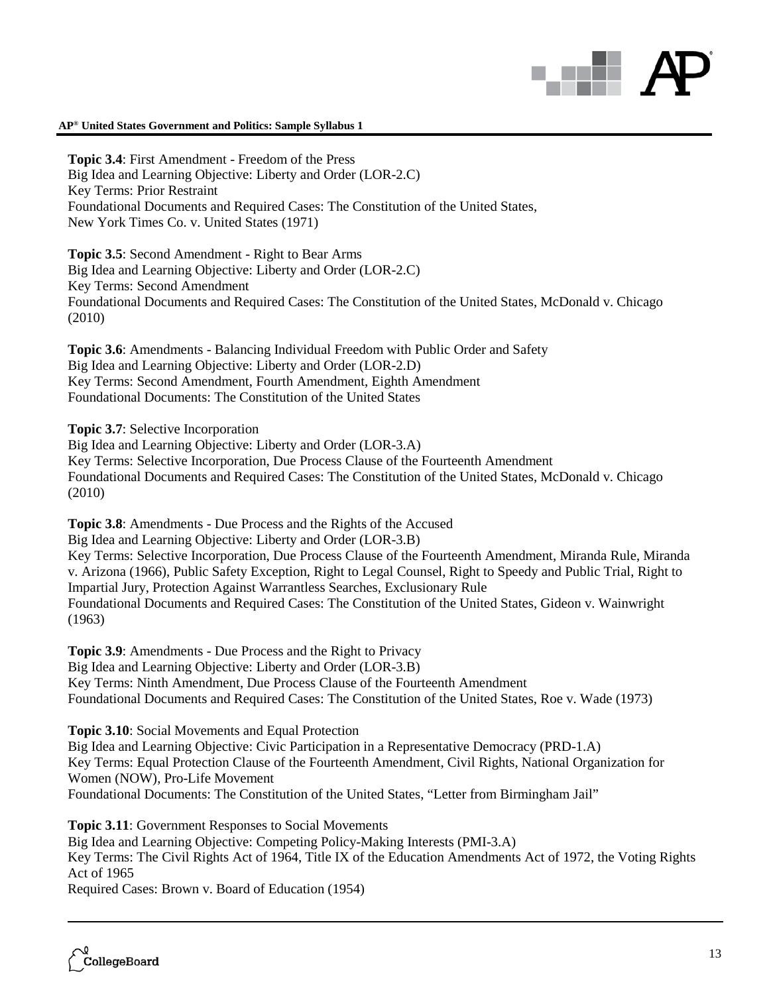**Topic 3.4**: First Amendment - Freedom of the Press Big Idea and Learning Objective: Liberty and Order (LOR-2.C) Key Terms: Prior Restraint Foundational Documents and Required Cases: The Constitution of the United States, New York Times Co. v. United States (1971)

**Topic 3.5**: Second Amendment - Right to Bear Arms Big Idea and Learning Objective: Liberty and Order (LOR-2.C) Key Terms: Second Amendment Foundational Documents and Required Cases: The Constitution of the United States, McDonald v. Chicago (2010)

**Topic 3.6**: Amendments - Balancing Individual Freedom with Public Order and Safety Big Idea and Learning Objective: Liberty and Order (LOR-2.D) Key Terms: Second Amendment, Fourth Amendment, Eighth Amendment Foundational Documents: The Constitution of the United States

**Topic 3.7**: Selective Incorporation

Big Idea and Learning Objective: Liberty and Order (LOR-3.A) Key Terms: Selective Incorporation, Due Process Clause of the Fourteenth Amendment Foundational Documents and Required Cases: The Constitution of the United States, McDonald v. Chicago (2010)

**Topic 3.8**: Amendments - Due Process and the Rights of the Accused

Big Idea and Learning Objective: Liberty and Order (LOR-3.B)

Key Terms: Selective Incorporation, Due Process Clause of the Fourteenth Amendment, Miranda Rule, Miranda v. Arizona (1966), Public Safety Exception, Right to Legal Counsel, Right to Speedy and Public Trial, Right to Impartial Jury, Protection Against Warrantless Searches, Exclusionary Rule Foundational Documents and Required Cases: The Constitution of the United States, Gideon v. Wainwright (1963)

**Topic 3.9**: Amendments - Due Process and the Right to Privacy Big Idea and Learning Objective: Liberty and Order (LOR-3.B) Key Terms: Ninth Amendment, Due Process Clause of the Fourteenth Amendment Foundational Documents and Required Cases: The Constitution of the United States, Roe v. Wade (1973)

**Topic 3.10**: Social Movements and Equal Protection Big Idea and Learning Objective: Civic Participation in a Representative Democracy (PRD-1.A) Key Terms: Equal Protection Clause of the Fourteenth Amendment, Civil Rights, National Organization for Women (NOW), Pro-Life Movement Foundational Documents: The Constitution of the United States, "Letter from Birmingham Jail"

**Topic 3.11**: Government Responses to Social Movements Big Idea and Learning Objective: Competing Policy-Making Interests (PMI-3.A) Key Terms: The Civil Rights Act of 1964, Title IX of the Education Amendments Act of 1972, the Voting Rights Act of 1965 Required Cases: Brown v. Board of Education (1954)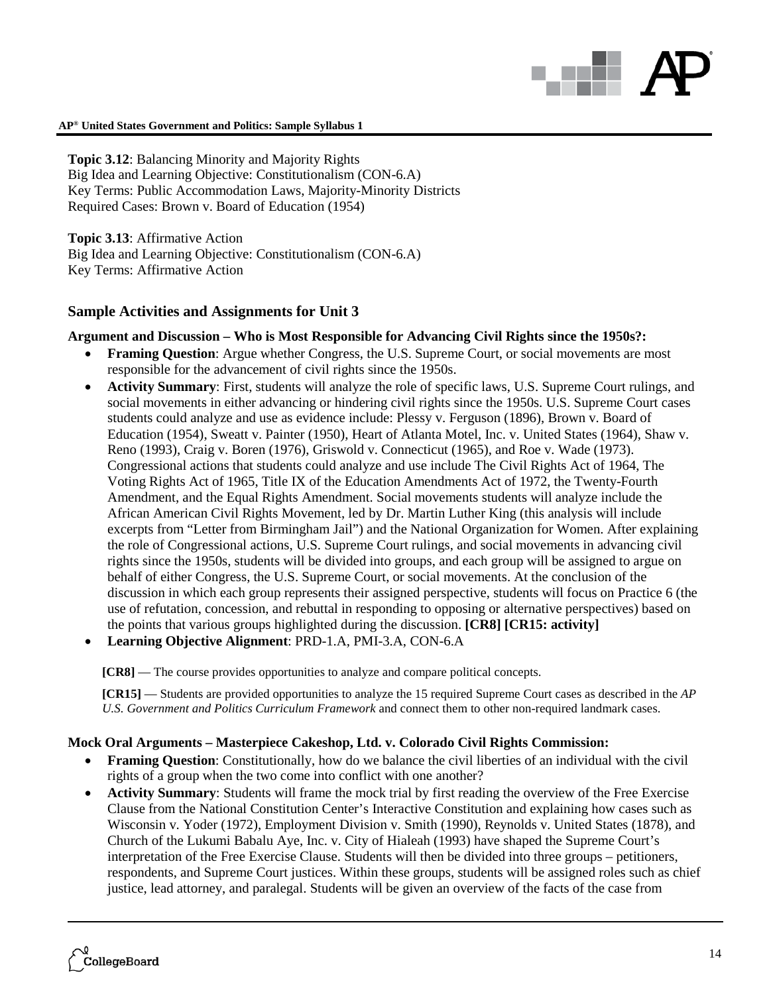# anti l

### **AP® United States Government and Politics: Sample Syllabus 1**

**Topic 3.12**: Balancing Minority and Majority Rights Big Idea and Learning Objective: Constitutionalism (CON-6.A) Key Terms: Public Accommodation Laws, Majority-Minority Districts Required Cases: Brown v. Board of Education (1954)

**Topic 3.13**: Affirmative Action Big Idea and Learning Objective: Constitutionalism (CON-6.A) Key Terms: Affirmative Action

### **Sample Activities and Assignments for Unit 3**

### **Argument and Discussion – Who is Most Responsible for Advancing Civil Rights since the 1950s?:**

- **Framing Question:** Argue whether Congress, the U.S. Supreme Court, or social movements are most responsible for the advancement of civil rights since the 1950s.
- **Activity Summary**: First, students will analyze the role of specific laws, U.S. Supreme Court rulings, and social movements in either advancing or hindering civil rights since the 1950s. U.S. Supreme Court cases students could analyze and use as evidence include: Plessy v. Ferguson (1896), Brown v. Board of Education (1954), Sweatt v. Painter (1950), Heart of Atlanta Motel, Inc. v. United States (1964), Shaw v. Reno (1993), Craig v. Boren (1976), Griswold v. Connecticut (1965), and Roe v. Wade (1973). Congressional actions that students could analyze and use include The Civil Rights Act of 1964, The Voting Rights Act of 1965, Title IX of the Education Amendments Act of 1972, the Twenty-Fourth Amendment, and the Equal Rights Amendment. Social movements students will analyze include the African American Civil Rights Movement, led by Dr. Martin Luther King (this analysis will include excerpts from "Letter from Birmingham Jail") and the National Organization for Women. After explaining the role of Congressional actions, U.S. Supreme Court rulings, and social movements in advancing civil rights since the 1950s, students will be divided into groups, and each group will be assigned to argue on behalf of either Congress, the U.S. Supreme Court, or social movements. At the conclusion of the discussion in which each group represents their assigned perspective, students will focus on Practice 6 (the use of refutation, concession, and rebuttal in responding to opposing or alternative perspectives) based on the points that various groups highlighted during the discussion. **[CR8] [CR15: activity]**
- **Learning Objective Alignment**: PRD-1.A, PMI-3.A, CON-6.A

**[CR8]** — The course provides opportunities to analyze and compare political concepts.

**[CR15]** — Students are provided opportunities to analyze the 15 required Supreme Court cases as described in the *AP U.S. Government and Politics Curriculum Framework* and connect them to other non-required landmark cases.

### **Mock Oral Arguments – Masterpiece Cakeshop, Ltd. v. Colorado Civil Rights Commission:**

- **Framing Question**: Constitutionally, how do we balance the civil liberties of an individual with the civil rights of a group when the two come into conflict with one another?
- **Activity Summary**: Students will frame the mock trial by first reading the overview of the Free Exercise Clause from the National Constitution Center's Interactive Constitution and explaining how cases such as Wisconsin v. Yoder (1972), Employment Division v. Smith (1990), Reynolds v. United States (1878), and Church of the Lukumi Babalu Aye, Inc. v. City of Hialeah (1993) have shaped the Supreme Court's interpretation of the Free Exercise Clause. Students will then be divided into three groups – petitioners, respondents, and Supreme Court justices. Within these groups, students will be assigned roles such as chief justice, lead attorney, and paralegal. Students will be given an overview of the facts of the case from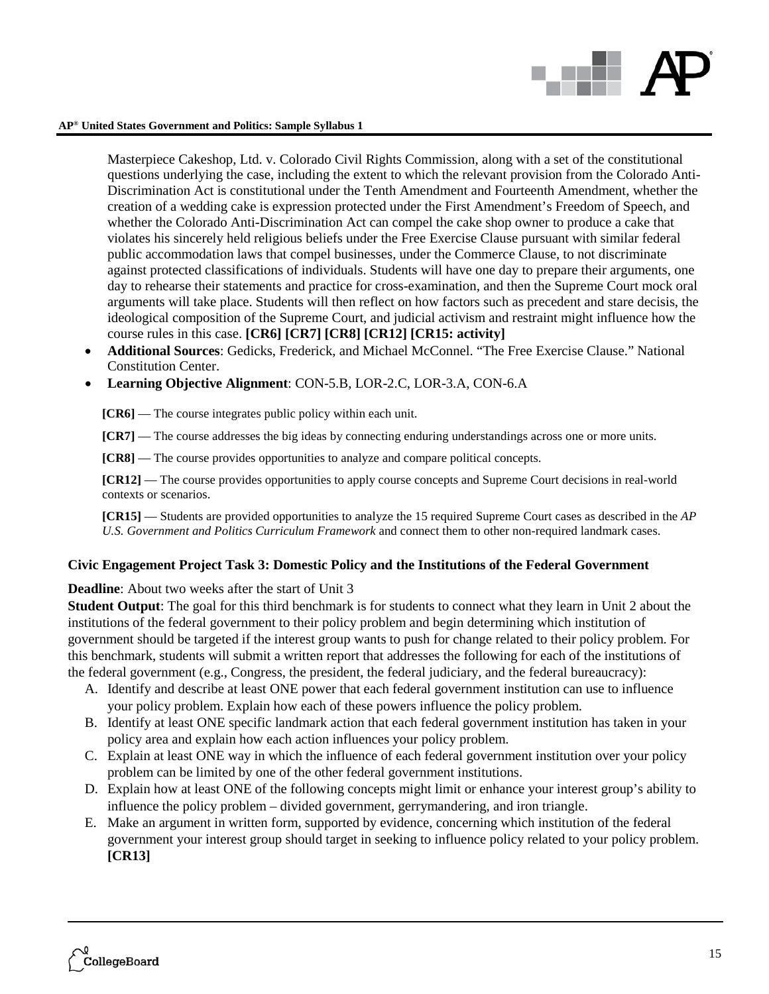

Masterpiece Cakeshop, Ltd. v. Colorado Civil Rights Commission, along with a set of the constitutional questions underlying the case, including the extent to which the relevant provision from the Colorado Anti-Discrimination Act is constitutional under the Tenth Amendment and Fourteenth Amendment, whether the creation of a wedding cake is expression protected under the First Amendment's Freedom of Speech, and whether the Colorado Anti-Discrimination Act can compel the cake shop owner to produce a cake that violates his sincerely held religious beliefs under the Free Exercise Clause pursuant with similar federal public accommodation laws that compel businesses, under the Commerce Clause, to not discriminate against protected classifications of individuals. Students will have one day to prepare their arguments, one day to rehearse their statements and practice for cross-examination, and then the Supreme Court mock oral arguments will take place. Students will then reflect on how factors such as precedent and stare decisis, the ideological composition of the Supreme Court, and judicial activism and restraint might influence how the course rules in this case. **[CR6] [CR7] [CR8] [CR12] [CR15: activity]**

- **Additional Sources**: Gedicks, Frederick, and Michael McConnel. "The Free Exercise Clause." National Constitution Center.
- **Learning Objective Alignment**: CON-5.B, LOR-2.C, LOR-3.A, CON-6.A

**[CR6]** — The course integrates public policy within each unit.

**[CR7]** — The course addresses the big ideas by connecting enduring understandings across one or more units.

**[CR8]** — The course provides opportunities to analyze and compare political concepts.

**[CR12]** — The course provides opportunities to apply course concepts and Supreme Court decisions in real-world contexts or scenarios.

**[CR15]** — Students are provided opportunities to analyze the 15 required Supreme Court cases as described in the *AP U.S. Government and Politics Curriculum Framework* and connect them to other non-required landmark cases.

### **Civic Engagement Project Task 3: Domestic Policy and the Institutions of the Federal Government**

**Deadline**: About two weeks after the start of Unit 3

**Student Output**: The goal for this third benchmark is for students to connect what they learn in Unit 2 about the institutions of the federal government to their policy problem and begin determining which institution of government should be targeted if the interest group wants to push for change related to their policy problem. For this benchmark, students will submit a written report that addresses the following for each of the institutions of the federal government (e.g., Congress, the president, the federal judiciary, and the federal bureaucracy):

- A. Identify and describe at least ONE power that each federal government institution can use to influence your policy problem. Explain how each of these powers influence the policy problem.
- B. Identify at least ONE specific landmark action that each federal government institution has taken in your policy area and explain how each action influences your policy problem.
- C. Explain at least ONE way in which the influence of each federal government institution over your policy problem can be limited by one of the other federal government institutions.
- D. Explain how at least ONE of the following concepts might limit or enhance your interest group's ability to influence the policy problem – divided government, gerrymandering, and iron triangle.
- E. Make an argument in written form, supported by evidence, concerning which institution of the federal government your interest group should target in seeking to influence policy related to your policy problem. **[CR13]**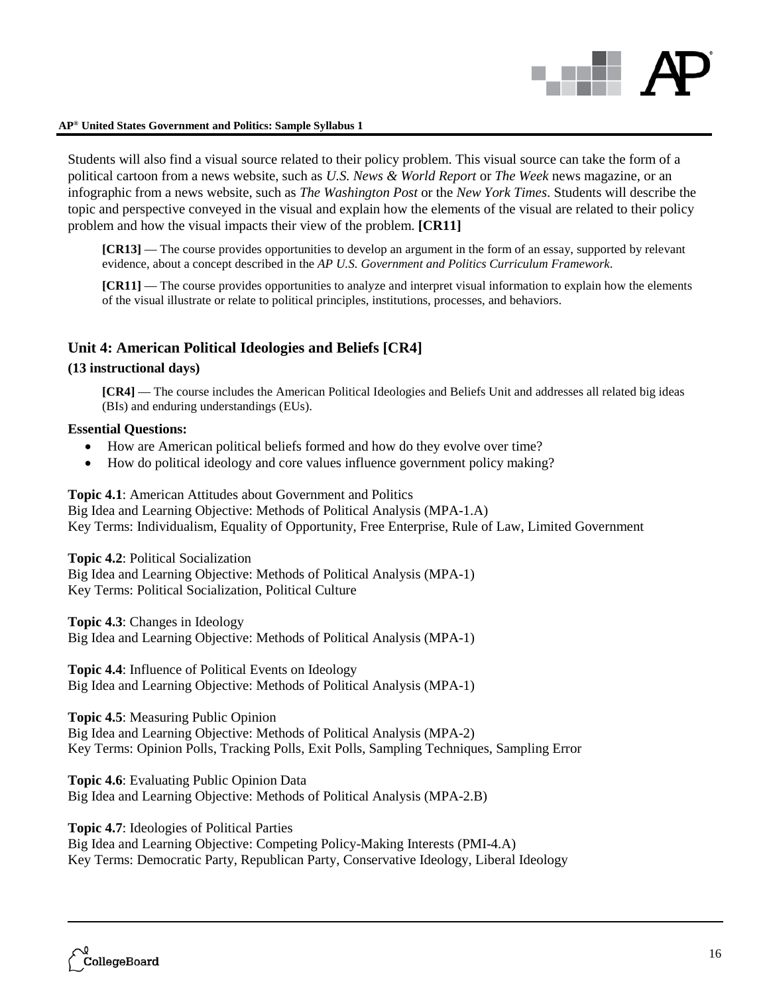

Students will also find a visual source related to their policy problem. This visual source can take the form of a political cartoon from a news website, such as *U.S. News & World Report* or *The Week* news magazine, or an infographic from a news website, such as *The Washington Post* or the *New York Times*. Students will describe the topic and perspective conveyed in the visual and explain how the elements of the visual are related to their policy problem and how the visual impacts their view of the problem. **[CR11]**

**[CR13]** — The course provides opportunities to develop an argument in the form of an essay, supported by relevant evidence, about a concept described in the *AP U.S. Government and Politics Curriculum Framework*.

**[CR11]** — The course provides opportunities to analyze and interpret visual information to explain how the elements of the visual illustrate or relate to political principles, institutions, processes, and behaviors.

### **Unit 4: American Political Ideologies and Beliefs [CR4]**

### **(13 instructional days)**

**[CR4]** — The course includes the American Political Ideologies and Beliefs Unit and addresses all related big ideas (BIs) and enduring understandings (EUs).

### **Essential Questions:**

- How are American political beliefs formed and how do they evolve over time?
- How do political ideology and core values influence government policy making?

**Topic 4.1**: American Attitudes about Government and Politics

Big Idea and Learning Objective: Methods of Political Analysis (MPA-1.A) Key Terms: Individualism, Equality of Opportunity, Free Enterprise, Rule of Law, Limited Government

**Topic 4.2**: Political Socialization

Big Idea and Learning Objective: Methods of Political Analysis (MPA-1) Key Terms: Political Socialization, Political Culture

**Topic 4.3**: Changes in Ideology Big Idea and Learning Objective: Methods of Political Analysis (MPA-1)

**Topic 4.4**: Influence of Political Events on Ideology Big Idea and Learning Objective: Methods of Political Analysis (MPA-1)

**Topic 4.5**: Measuring Public Opinion

Big Idea and Learning Objective: Methods of Political Analysis (MPA-2) Key Terms: Opinion Polls, Tracking Polls, Exit Polls, Sampling Techniques, Sampling Error

**Topic 4.6**: Evaluating Public Opinion Data Big Idea and Learning Objective: Methods of Political Analysis (MPA-2.B)

**Topic 4.7**: Ideologies of Political Parties Big Idea and Learning Objective: Competing Policy-Making Interests (PMI-4.A) Key Terms: Democratic Party, Republican Party, Conservative Ideology, Liberal Ideology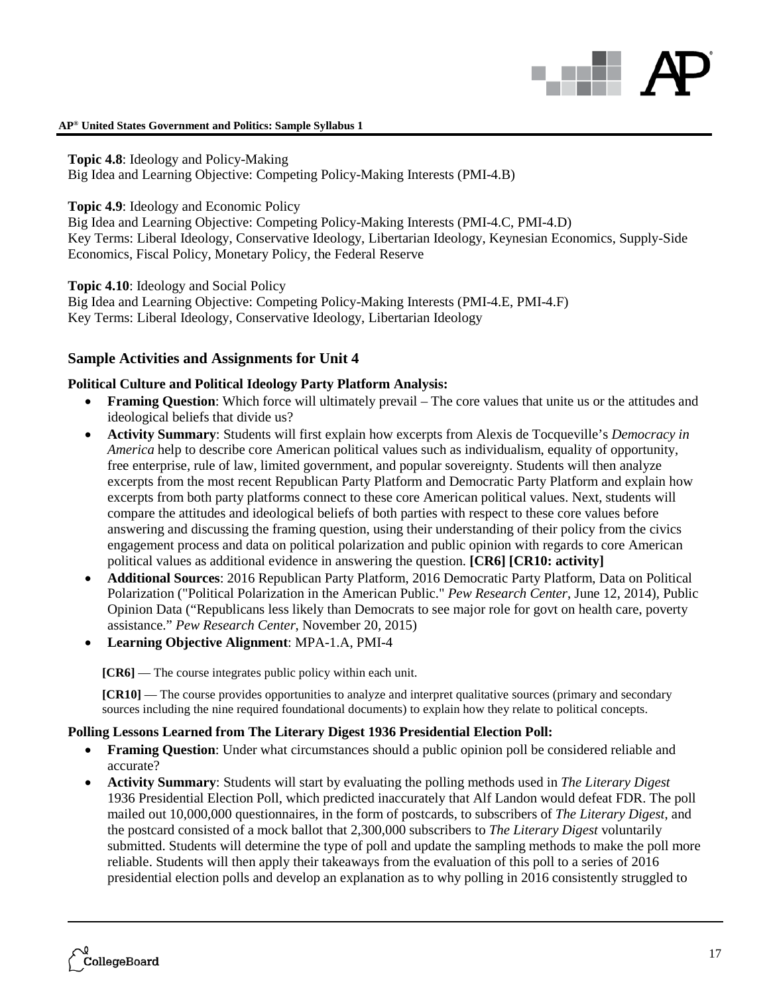

**Topic 4.8**: Ideology and Policy-Making Big Idea and Learning Objective: Competing Policy-Making Interests (PMI-4.B)

**Topic 4.9**: Ideology and Economic Policy

Big Idea and Learning Objective: Competing Policy-Making Interests (PMI-4.C, PMI-4.D) Key Terms: Liberal Ideology, Conservative Ideology, Libertarian Ideology, Keynesian Economics, Supply-Side Economics, Fiscal Policy, Monetary Policy, the Federal Reserve

**Topic 4.10**: Ideology and Social Policy

Big Idea and Learning Objective: Competing Policy-Making Interests (PMI-4.E, PMI-4.F) Key Terms: Liberal Ideology, Conservative Ideology, Libertarian Ideology

### **Sample Activities and Assignments for Unit 4**

### **Political Culture and Political Ideology Party Platform Analysis:**

- **Framing Question**: Which force will ultimately prevail The core values that unite us or the attitudes and ideological beliefs that divide us?
- **Activity Summary**: Students will first explain how excerpts from Alexis de Tocqueville's *Democracy in America* help to describe core American political values such as individualism, equality of opportunity, free enterprise, rule of law, limited government, and popular sovereignty. Students will then analyze excerpts from the most recent Republican Party Platform and Democratic Party Platform and explain how excerpts from both party platforms connect to these core American political values. Next, students will compare the attitudes and ideological beliefs of both parties with respect to these core values before answering and discussing the framing question, using their understanding of their policy from the civics engagement process and data on political polarization and public opinion with regards to core American political values as additional evidence in answering the question. **[CR6] [CR10: activity]**
- **Additional Sources**: 2016 Republican Party Platform, 2016 Democratic Party Platform, Data on Political Polarization ("Political Polarization in the American Public." *Pew Research Center*, June 12, 2014), Public Opinion Data ("Republicans less likely than Democrats to see major role for govt on health care, poverty assistance." *Pew Research Center*, November 20, 2015)
- **Learning Objective Alignment**: MPA-1.A, PMI-4

**[CR6]** — The course integrates public policy within each unit.

**[CR10]** — The course provides opportunities to analyze and interpret qualitative sources (primary and secondary sources including the nine required foundational documents) to explain how they relate to political concepts.

### **Polling Lessons Learned from The Literary Digest 1936 Presidential Election Poll:**

- **Framing Question**: Under what circumstances should a public opinion poll be considered reliable and accurate?
- **Activity Summary**: Students will start by evaluating the polling methods used in *The Literary Digest* 1936 Presidential Election Poll, which predicted inaccurately that Alf Landon would defeat FDR. The poll mailed out 10,000,000 questionnaires, in the form of postcards, to subscribers of *The Literary Digest*, and the postcard consisted of a mock ballot that 2,300,000 subscribers to *The Literary Digest* voluntarily submitted. Students will determine the type of poll and update the sampling methods to make the poll more reliable. Students will then apply their takeaways from the evaluation of this poll to a series of 2016 presidential election polls and develop an explanation as to why polling in 2016 consistently struggled to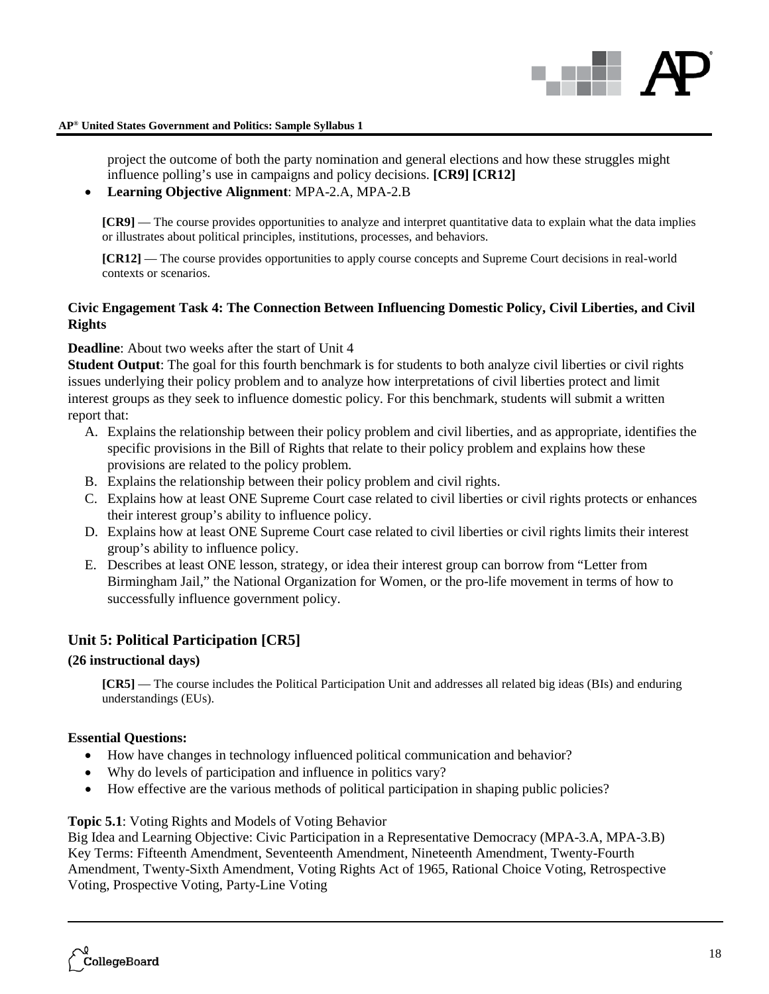

project the outcome of both the party nomination and general elections and how these struggles might influence polling's use in campaigns and policy decisions. **[CR9] [CR12]**

• **Learning Objective Alignment**: MPA-2.A, MPA-2.B

**[CR9]** — The course provides opportunities to analyze and interpret quantitative data to explain what the data implies or illustrates about political principles, institutions, processes, and behaviors.

**[CR12]** — The course provides opportunities to apply course concepts and Supreme Court decisions in real-world contexts or scenarios.

### **Civic Engagement Task 4: The Connection Between Influencing Domestic Policy, Civil Liberties, and Civil Rights**

**Deadline**: About two weeks after the start of Unit 4

**Student Output**: The goal for this fourth benchmark is for students to both analyze civil liberties or civil rights issues underlying their policy problem and to analyze how interpretations of civil liberties protect and limit interest groups as they seek to influence domestic policy. For this benchmark, students will submit a written report that:

- A. Explains the relationship between their policy problem and civil liberties, and as appropriate, identifies the specific provisions in the Bill of Rights that relate to their policy problem and explains how these provisions are related to the policy problem.
- B. Explains the relationship between their policy problem and civil rights.
- C. Explains how at least ONE Supreme Court case related to civil liberties or civil rights protects or enhances their interest group's ability to influence policy.
- D. Explains how at least ONE Supreme Court case related to civil liberties or civil rights limits their interest group's ability to influence policy.
- E. Describes at least ONE lesson, strategy, or idea their interest group can borrow from "Letter from Birmingham Jail," the National Organization for Women, or the pro-life movement in terms of how to successfully influence government policy.

### **Unit 5: Political Participation [CR5]**

### **(26 instructional days)**

**[CR5]** — The course includes the Political Participation Unit and addresses all related big ideas (BIs) and enduring understandings (EUs).

### **Essential Questions:**

- How have changes in technology influenced political communication and behavior?
- Why do levels of participation and influence in politics vary?
- How effective are the various methods of political participation in shaping public policies?

### **Topic 5.1**: Voting Rights and Models of Voting Behavior

Big Idea and Learning Objective: Civic Participation in a Representative Democracy (MPA-3.A, MPA-3.B) Key Terms: Fifteenth Amendment, Seventeenth Amendment, Nineteenth Amendment, Twenty-Fourth Amendment, Twenty-Sixth Amendment, Voting Rights Act of 1965, Rational Choice Voting, Retrospective Voting, Prospective Voting, Party-Line Voting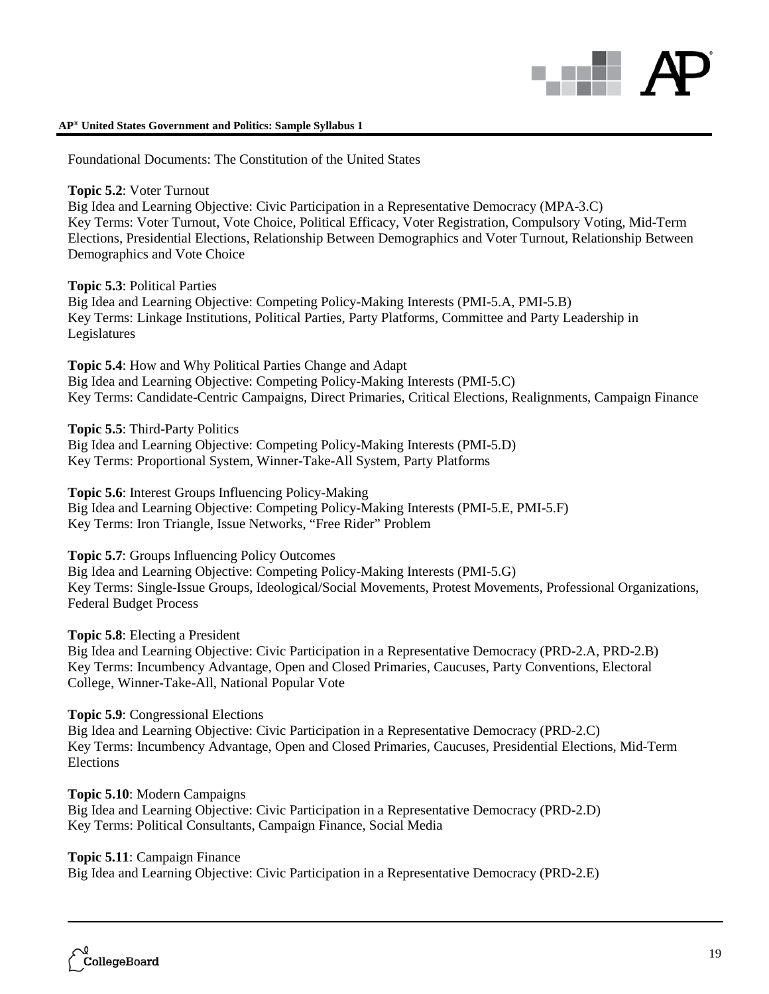

Foundational Documents: The Constitution of the United States

### **Topic 5.2**: Voter Turnout

Big Idea and Learning Objective: Civic Participation in a Representative Democracy (MPA-3.C) Key Terms: Voter Turnout, Vote Choice, Political Efficacy, Voter Registration, Compulsory Voting, Mid-Term Elections, Presidential Elections, Relationship Between Demographics and Voter Turnout, Relationship Between Demographics and Vote Choice

### **Topic 5.3**: Political Parties

Big Idea and Learning Objective: Competing Policy-Making Interests (PMI-5.A, PMI-5.B) Key Terms: Linkage Institutions, Political Parties, Party Platforms, Committee and Party Leadership in Legislatures

**Topic 5.4**: How and Why Political Parties Change and Adapt Big Idea and Learning Objective: Competing Policy-Making Interests (PMI-5.C) Key Terms: Candidate-Centric Campaigns, Direct Primaries, Critical Elections, Realignments, Campaign Finance

### **Topic 5.5**: Third-Party Politics

Big Idea and Learning Objective: Competing Policy-Making Interests (PMI-5.D) Key Terms: Proportional System, Winner-Take-All System, Party Platforms

### **Topic 5.6**: Interest Groups Influencing Policy-Making

Big Idea and Learning Objective: Competing Policy-Making Interests (PMI-5.E, PMI-5.F) Key Terms: Iron Triangle, Issue Networks, "Free Rider" Problem

### **Topic 5.7**: Groups Influencing Policy Outcomes

Big Idea and Learning Objective: Competing Policy-Making Interests (PMI-5.G) Key Terms: Single-Issue Groups, Ideological/Social Movements, Protest Movements, Professional Organizations, Federal Budget Process

### **Topic 5.8**: Electing a President

Big Idea and Learning Objective: Civic Participation in a Representative Democracy (PRD-2.A, PRD-2.B) Key Terms: Incumbency Advantage, Open and Closed Primaries, Caucuses, Party Conventions, Electoral College, Winner-Take-All, National Popular Vote

### **Topic 5.9**: Congressional Elections

Big Idea and Learning Objective: Civic Participation in a Representative Democracy (PRD-2.C) Key Terms: Incumbency Advantage, Open and Closed Primaries, Caucuses, Presidential Elections, Mid-Term Elections

### **Topic 5.10**: Modern Campaigns Big Idea and Learning Objective: Civic Participation in a Representative Democracy (PRD-2.D) Key Terms: Political Consultants, Campaign Finance, Social Media

### **Topic 5.11**: Campaign Finance

Big Idea and Learning Objective: Civic Participation in a Representative Democracy (PRD-2.E)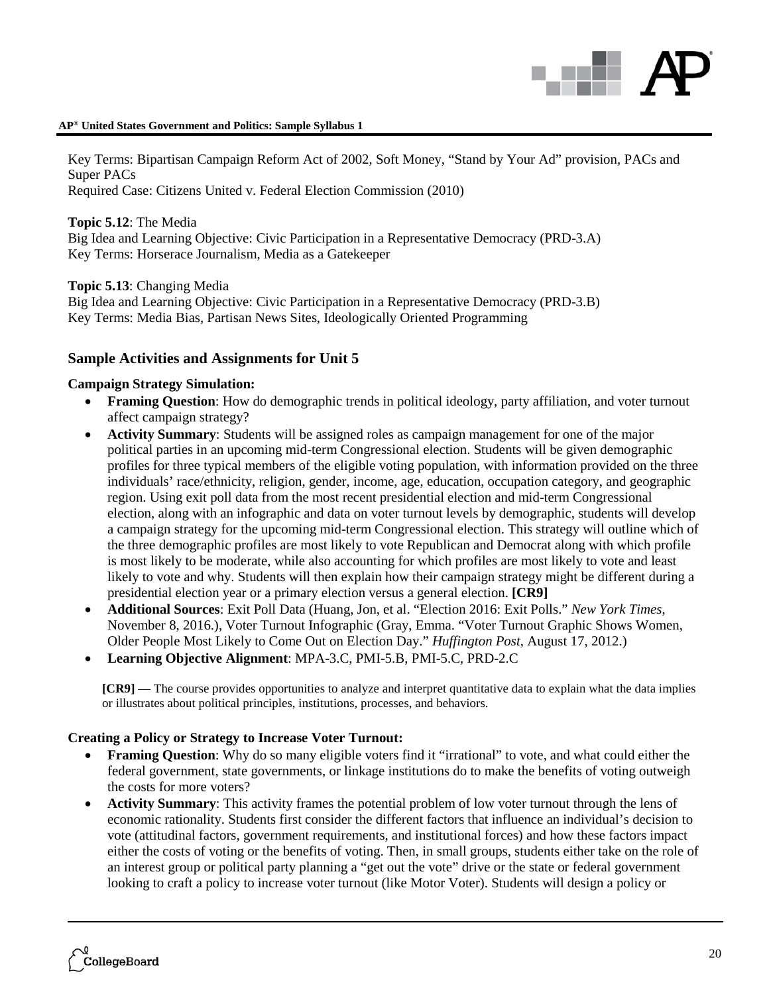Key Terms: Bipartisan Campaign Reform Act of 2002, Soft Money, "Stand by Your Ad" provision, PACs and Super PACs

Required Case: Citizens United v. Federal Election Commission (2010)

**Topic 5.12**: The Media Big Idea and Learning Objective: Civic Participation in a Representative Democracy (PRD-3.A) Key Terms: Horserace Journalism, Media as a Gatekeeper

**Topic 5.13**: Changing Media

Big Idea and Learning Objective: Civic Participation in a Representative Democracy (PRD-3.B) Key Terms: Media Bias, Partisan News Sites, Ideologically Oriented Programming

### **Sample Activities and Assignments for Unit 5**

### **Campaign Strategy Simulation:**

- **Framing Question**: How do demographic trends in political ideology, party affiliation, and voter turnout affect campaign strategy?
- **Activity Summary**: Students will be assigned roles as campaign management for one of the major political parties in an upcoming mid-term Congressional election. Students will be given demographic profiles for three typical members of the eligible voting population, with information provided on the three individuals' race/ethnicity, religion, gender, income, age, education, occupation category, and geographic region. Using exit poll data from the most recent presidential election and mid-term Congressional election, along with an infographic and data on voter turnout levels by demographic, students will develop a campaign strategy for the upcoming mid-term Congressional election. This strategy will outline which of the three demographic profiles are most likely to vote Republican and Democrat along with which profile is most likely to be moderate, while also accounting for which profiles are most likely to vote and least likely to vote and why. Students will then explain how their campaign strategy might be different during a presidential election year or a primary election versus a general election. **[CR9]**
- **Additional Sources**: Exit Poll Data (Huang, Jon, et al. "Election 2016: Exit Polls." *New York Times*, November 8, 2016.), Voter Turnout Infographic (Gray, Emma. "Voter Turnout Graphic Shows Women, Older People Most Likely to Come Out on Election Day." *Huffington Post*, August 17, 2012.)
- **Learning Objective Alignment**: MPA-3.C, PMI-5.B, PMI-5.C, PRD-2.C

**[CR9]** — The course provides opportunities to analyze and interpret quantitative data to explain what the data implies or illustrates about political principles, institutions, processes, and behaviors.

### **Creating a Policy or Strategy to Increase Voter Turnout:**

- **Framing Question**: Why do so many eligible voters find it "irrational" to vote, and what could either the federal government, state governments, or linkage institutions do to make the benefits of voting outweigh the costs for more voters?
- **Activity Summary**: This activity frames the potential problem of low voter turnout through the lens of economic rationality. Students first consider the different factors that influence an individual's decision to vote (attitudinal factors, government requirements, and institutional forces) and how these factors impact either the costs of voting or the benefits of voting. Then, in small groups, students either take on the role of an interest group or political party planning a "get out the vote" drive or the state or federal government looking to craft a policy to increase voter turnout (like Motor Voter). Students will design a policy or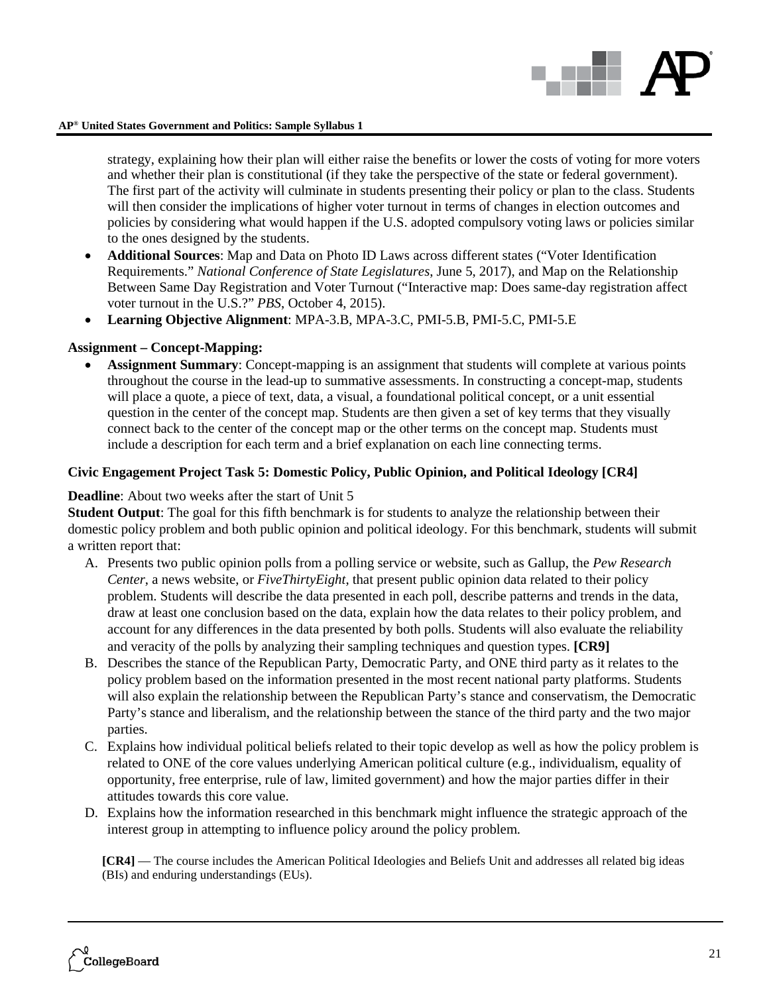

strategy, explaining how their plan will either raise the benefits or lower the costs of voting for more voters and whether their plan is constitutional (if they take the perspective of the state or federal government). The first part of the activity will culminate in students presenting their policy or plan to the class. Students will then consider the implications of higher voter turnout in terms of changes in election outcomes and policies by considering what would happen if the U.S. adopted compulsory voting laws or policies similar to the ones designed by the students.

- **Additional Sources**: Map and Data on Photo ID Laws across different states ("Voter Identification Requirements." *National Conference of State Legislatures*, June 5, 2017), and Map on the Relationship Between Same Day Registration and Voter Turnout ("Interactive map: Does same-day registration affect voter turnout in the U.S.?" *PBS*, October 4, 2015).
- **Learning Objective Alignment**: MPA-3.B, MPA-3.C, PMI-5.B, PMI-5.C, PMI-5.E

### **Assignment – Concept-Mapping:**

• **Assignment Summary**: Concept-mapping is an assignment that students will complete at various points throughout the course in the lead-up to summative assessments. In constructing a concept-map, students will place a quote, a piece of text, data, a visual, a foundational political concept, or a unit essential question in the center of the concept map. Students are then given a set of key terms that they visually connect back to the center of the concept map or the other terms on the concept map. Students must include a description for each term and a brief explanation on each line connecting terms.

### **Civic Engagement Project Task 5: Domestic Policy, Public Opinion, and Political Ideology [CR4]**

### **Deadline**: About two weeks after the start of Unit 5

**Student Output**: The goal for this fifth benchmark is for students to analyze the relationship between their domestic policy problem and both public opinion and political ideology. For this benchmark, students will submit a written report that:

- A. Presents two public opinion polls from a polling service or website, such as Gallup, the *Pew Research Center*, a news website, or *FiveThirtyEight*, that present public opinion data related to their policy problem. Students will describe the data presented in each poll, describe patterns and trends in the data, draw at least one conclusion based on the data, explain how the data relates to their policy problem, and account for any differences in the data presented by both polls. Students will also evaluate the reliability and veracity of the polls by analyzing their sampling techniques and question types. **[CR9]**
- B. Describes the stance of the Republican Party, Democratic Party, and ONE third party as it relates to the policy problem based on the information presented in the most recent national party platforms. Students will also explain the relationship between the Republican Party's stance and conservatism, the Democratic Party's stance and liberalism, and the relationship between the stance of the third party and the two major parties.
- C. Explains how individual political beliefs related to their topic develop as well as how the policy problem is related to ONE of the core values underlying American political culture (e.g., individualism, equality of opportunity, free enterprise, rule of law, limited government) and how the major parties differ in their attitudes towards this core value.
- D. Explains how the information researched in this benchmark might influence the strategic approach of the interest group in attempting to influence policy around the policy problem.

**[CR4]** — The course includes the American Political Ideologies and Beliefs Unit and addresses all related big ideas (BIs) and enduring understandings (EUs).